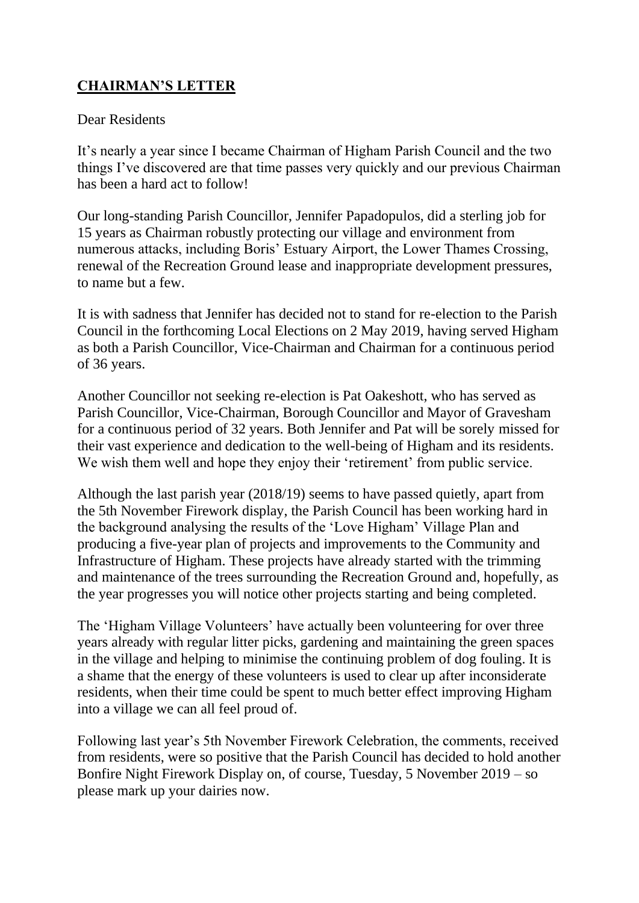## **CHAIRMAN'S LETTER**

#### Dear Residents

It's nearly a year since I became Chairman of Higham Parish Council and the two things I've discovered are that time passes very quickly and our previous Chairman has been a hard act to follow!

Our long-standing Parish Councillor, Jennifer Papadopulos, did a sterling job for 15 years as Chairman robustly protecting our village and environment from numerous attacks, including Boris' Estuary Airport, the Lower Thames Crossing, renewal of the Recreation Ground lease and inappropriate development pressures, to name but a few.

It is with sadness that Jennifer has decided not to stand for re-election to the Parish Council in the forthcoming Local Elections on 2 May 2019, having served Higham as both a Parish Councillor, Vice-Chairman and Chairman for a continuous period of 36 years.

Another Councillor not seeking re-election is Pat Oakeshott, who has served as Parish Councillor, Vice-Chairman, Borough Councillor and Mayor of Gravesham for a continuous period of 32 years. Both Jennifer and Pat will be sorely missed for their vast experience and dedication to the well-being of Higham and its residents. We wish them well and hope they enjoy their 'retirement' from public service.

Although the last parish year (2018/19) seems to have passed quietly, apart from the 5th November Firework display, the Parish Council has been working hard in the background analysing the results of the 'Love Higham' Village Plan and producing a five-year plan of projects and improvements to the Community and Infrastructure of Higham. These projects have already started with the trimming and maintenance of the trees surrounding the Recreation Ground and, hopefully, as the year progresses you will notice other projects starting and being completed.

The 'Higham Village Volunteers' have actually been volunteering for over three years already with regular litter picks, gardening and maintaining the green spaces in the village and helping to minimise the continuing problem of dog fouling. It is a shame that the energy of these volunteers is used to clear up after inconsiderate residents, when their time could be spent to much better effect improving Higham into a village we can all feel proud of.

Following last year's 5th November Firework Celebration, the comments, received from residents, were so positive that the Parish Council has decided to hold another Bonfire Night Firework Display on, of course, Tuesday, 5 November 2019 – so please mark up your dairies now.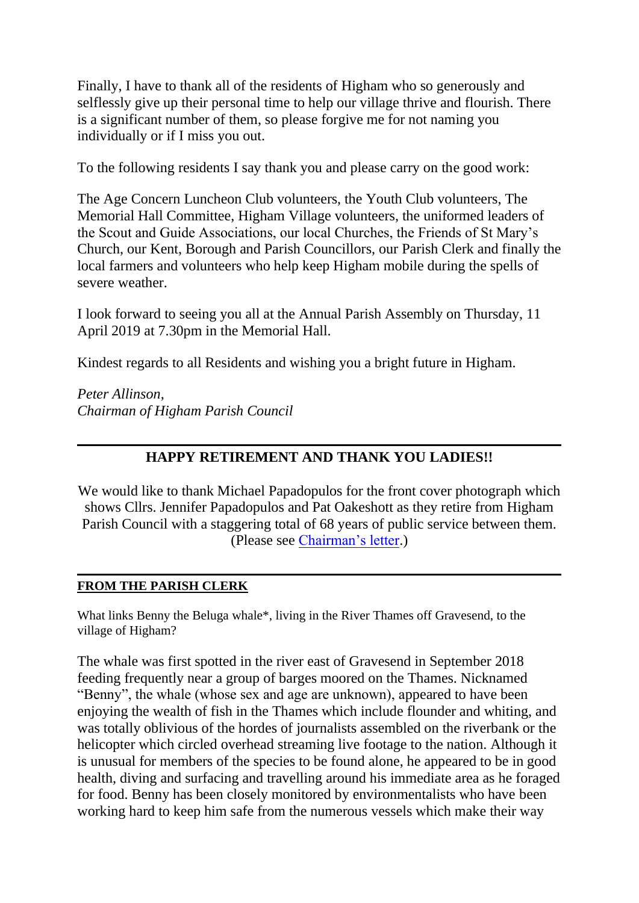Finally, I have to thank all of the residents of Higham who so generously and selflessly give up their personal time to help our village thrive and flourish. There is a significant number of them, so please forgive me for not naming you individually or if I miss you out.

To the following residents I say thank you and please carry on the good work:

The Age Concern Luncheon Club volunteers, the Youth Club volunteers, The Memorial Hall Committee, Higham Village volunteers, the uniformed leaders of the Scout and Guide Associations, our local Churches, the Friends of St Mary's Church, our Kent, Borough and Parish Councillors, our Parish Clerk and finally the local farmers and volunteers who help keep Higham mobile during the spells of severe weather.

I look forward to seeing you all at the Annual Parish Assembly on Thursday, 11 April 2019 at 7.30pm in the Memorial Hall.

Kindest regards to all Residents and wishing you a bright future in Higham.

*Peter Allinson, Chairman of Higham Parish Council*

## **HAPPY RETIREMENT AND THANK YOU LADIES!!**

We would like to thank Michael Papadopulos for the front cover photograph which shows Cllrs. Jennifer Papadopulos and Pat Oakeshott as they retire from Higham Parish Council with a staggering total of 68 years of public service between them. (Please see [Chairman's letter.](http://www.higham-kent-pc.gov.uk/2019/Newsletter.html#letter))

#### **FROM THE PARISH CLERK**

What links Benny the Beluga whale\*, living in the River Thames off Gravesend, to the village of Higham?

The whale was first spotted in the river east of Gravesend in September 2018 feeding frequently near a group of barges moored on the Thames. Nicknamed "Benny", the whale (whose sex and age are unknown), appeared to have been enjoying the wealth of fish in the Thames which include flounder and whiting, and was totally oblivious of the hordes of journalists assembled on the riverbank or the helicopter which circled overhead streaming live footage to the nation. Although it is unusual for members of the species to be found alone, he appeared to be in good health, diving and surfacing and travelling around his immediate area as he foraged for food. Benny has been closely monitored by environmentalists who have been working hard to keep him safe from the numerous vessels which make their way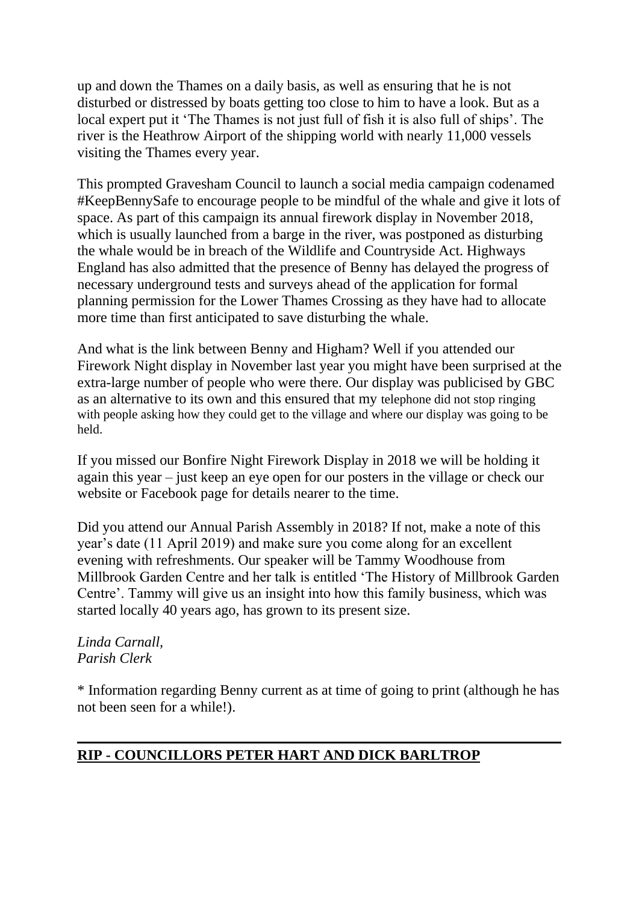up and down the Thames on a daily basis, as well as ensuring that he is not disturbed or distressed by boats getting too close to him to have a look. But as a local expert put it 'The Thames is not just full of fish it is also full of ships'. The river is the Heathrow Airport of the shipping world with nearly 11,000 vessels visiting the Thames every year.

This prompted Gravesham Council to launch a social media campaign codenamed #KeepBennySafe to encourage people to be mindful of the whale and give it lots of space. As part of this campaign its annual firework display in November 2018, which is usually launched from a barge in the river, was postponed as disturbing the whale would be in breach of the Wildlife and Countryside Act. Highways England has also admitted that the presence of Benny has delayed the progress of necessary underground tests and surveys ahead of the application for formal planning permission for the Lower Thames Crossing as they have had to allocate more time than first anticipated to save disturbing the whale.

And what is the link between Benny and Higham? Well if you attended our Firework Night display in November last year you might have been surprised at the extra-large number of people who were there. Our display was publicised by GBC as an alternative to its own and this ensured that my telephone did not stop ringing with people asking how they could get to the village and where our display was going to be held.

If you missed our Bonfire Night Firework Display in 2018 we will be holding it again this year – just keep an eye open for our posters in the village or check our website or Facebook page for details nearer to the time.

Did you attend our Annual Parish Assembly in 2018? If not, make a note of this year's date (11 April 2019) and make sure you come along for an excellent evening with refreshments. Our speaker will be Tammy Woodhouse from Millbrook Garden Centre and her talk is entitled 'The History of Millbrook Garden Centre'. Tammy will give us an insight into how this family business, which was started locally 40 years ago, has grown to its present size.

*Linda Carnall, Parish Clerk*

\* Information regarding Benny current as at time of going to print (although he has not been seen for a while!).

## **RIP - COUNCILLORS PETER HART AND DICK BARLTROP**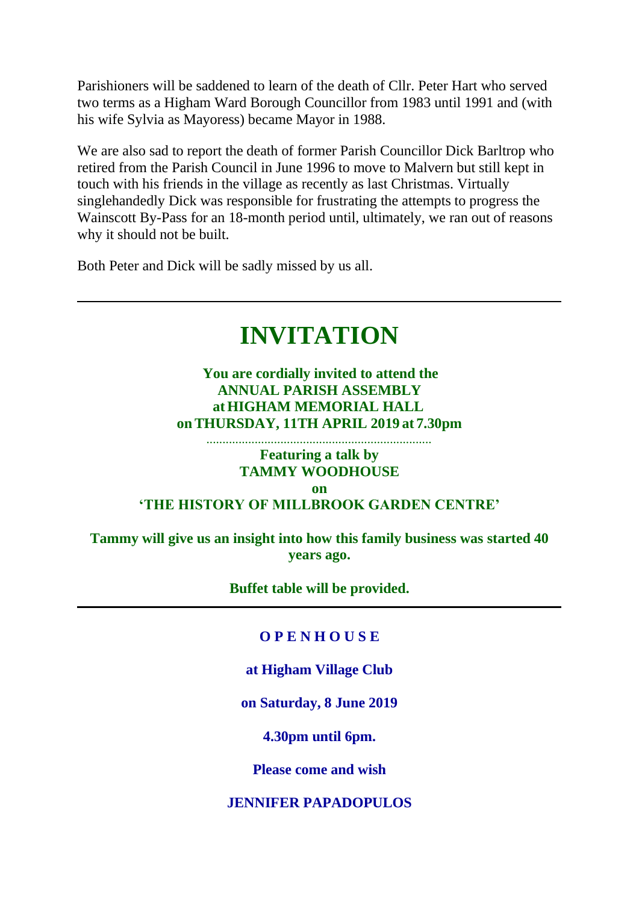Parishioners will be saddened to learn of the death of Cllr. Peter Hart who served two terms as a Higham Ward Borough Councillor from 1983 until 1991 and (with his wife Sylvia as Mayoress) became Mayor in 1988.

We are also sad to report the death of former Parish Councillor Dick Barltrop who retired from the Parish Council in June 1996 to move to Malvern but still kept in touch with his friends in the village as recently as last Christmas. Virtually singlehandedly Dick was responsible for frustrating the attempts to progress the Wainscott By-Pass for an 18-month period until, ultimately, we ran out of reasons why it should not be built.

Both Peter and Dick will be sadly missed by us all.

# **INVITATION**

## **You are cordially invited to attend the ANNUAL PARISH ASSEMBLY atHIGHAM MEMORIAL HALL onTHURSDAY, 11TH APRIL 2019 at 7.30pm**

#### ...................................................................... **Featuring a talk by TAMMY WOODHOUSE**

**on**

## **'THE HISTORY OF MILLBROOK GARDEN CENTRE'**

**Tammy will give us an insight into how this family business was started 40 years ago.**

#### **Buffet table will be provided.**

#### **O P E N H O U S E**

#### **at Higham Village Club**

#### **on Saturday, 8 June 2019**

**4.30pm until 6pm.**

#### **Please come and wish**

#### **JENNIFER PAPADOPULOS**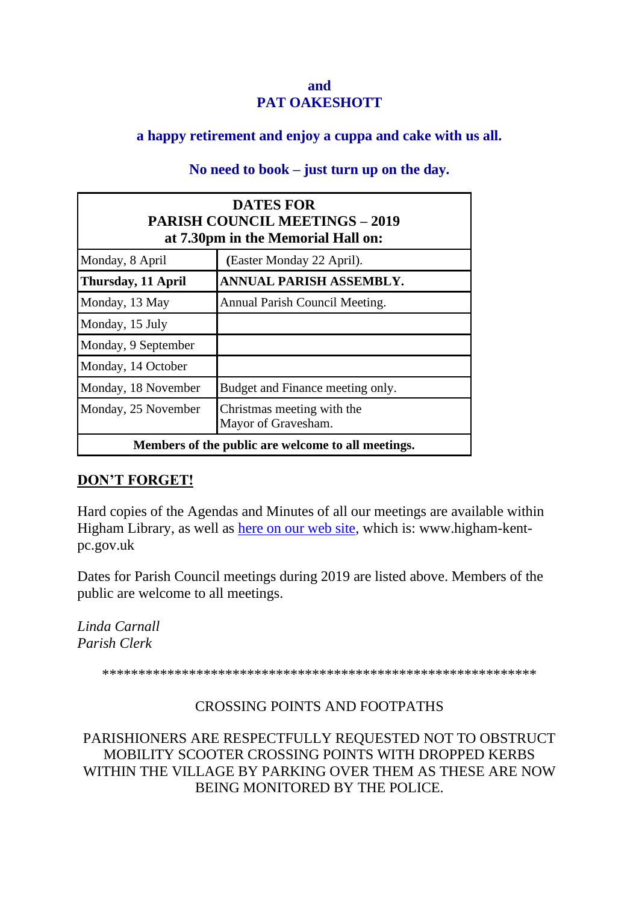#### **and PAT OAKESHOTT**

## **a happy retirement and enjoy a cuppa and cake with us all.**

## **No need to book – just turn up on the day.**

| <b>DATES FOR</b><br><b>PARISH COUNCIL MEETINGS - 2019</b><br>at 7.30pm in the Memorial Hall on: |                                                    |  |  |
|-------------------------------------------------------------------------------------------------|----------------------------------------------------|--|--|
| Monday, 8 April                                                                                 | (Easter Monday 22 April).                          |  |  |
| Thursday, 11 April                                                                              | ANNUAL PARISH ASSEMBLY.                            |  |  |
| Monday, 13 May                                                                                  | Annual Parish Council Meeting.                     |  |  |
| Monday, 15 July                                                                                 |                                                    |  |  |
| Monday, 9 September                                                                             |                                                    |  |  |
| Monday, 14 October                                                                              |                                                    |  |  |
| Monday, 18 November                                                                             | Budget and Finance meeting only.                   |  |  |
| Monday, 25 November                                                                             | Christmas meeting with the<br>Mayor of Gravesham.  |  |  |
|                                                                                                 | Members of the public are welcome to all meetings. |  |  |

#### **DON'T FORGET!**

Hard copies of the Agendas and Minutes of all our meetings are available within Higham Library, as well as [here on our web site,](http://www.higham-kent-pc.gov.uk/mtgdates.htm) which is: www.higham-kentpc.gov.uk

Dates for Parish Council meetings during 2019 are listed above. Members of the public are welcome to all meetings.

*Linda Carnall Parish Clerk*

\*\*\*\*\*\*\*\*\*\*\*\*\*\*\*\*\*\*\*\*\*\*\*\*\*\*\*\*\*\*\*\*\*\*\*\*\*\*\*\*\*\*\*\*\*\*\*\*\*\*\*\*\*\*\*\*\*\*\*\*

## CROSSING POINTS AND FOOTPATHS

PARISHIONERS ARE RESPECTFULLY REQUESTED NOT TO OBSTRUCT MOBILITY SCOOTER CROSSING POINTS WITH DROPPED KERBS WITHIN THE VILLAGE BY PARKING OVER THEM AS THESE ARE NOW BEING MONITORED BY THE POLICE.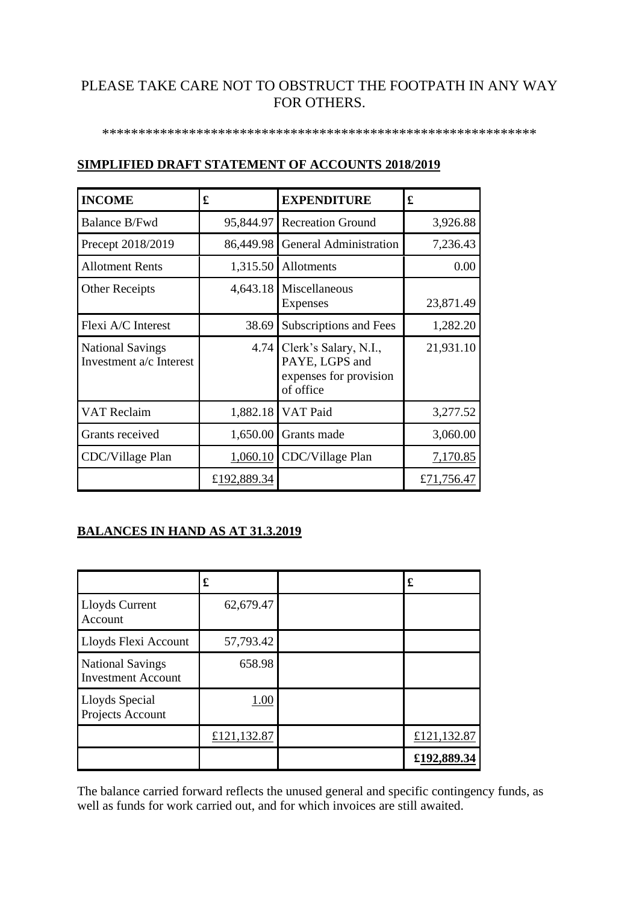## PLEASE TAKE CARE NOT TO OBSTRUCT THE FOOTPATH IN ANY WAY FOR OTHERS.

#### \*\*\*\*\*\*\*\*\*\*\*\*\*\*\*\*\*\*\*\*\*\*\*\*\*\*\*\*\*\*\*\*\*\*\*\*\*\*\*\*\*\*\*\*\*\*\*\*\*\*\*\*\*\*\*\*\*\*\*\*

| <b>INCOME</b>                                      | £           | <b>EXPENDITURE</b>                                                                    | £          |
|----------------------------------------------------|-------------|---------------------------------------------------------------------------------------|------------|
| Balance B/Fwd                                      |             | 95,844.97 Recreation Ground                                                           | 3,926.88   |
| Precept 2018/2019                                  |             | 86,449.98 General Administration                                                      | 7,236.43   |
| <b>Allotment Rents</b>                             |             | $1,315.50$ Allotments                                                                 | 0.00       |
| <b>Other Receipts</b>                              |             | $4,643.18$ Miscellaneous<br><b>Expenses</b>                                           | 23,871.49  |
| Flexi A/C Interest                                 | 38.69       | Subscriptions and Fees                                                                | 1,282.20   |
| <b>National Savings</b><br>Investment a/c Interest |             | $4.74$ Clerk's Salary, N.I.,<br>PAYE, LGPS and<br>expenses for provision<br>of office | 21,931.10  |
| <b>VAT Reclaim</b>                                 |             | 1,882.18 VAT Paid                                                                     | 3,277.52   |
| Grants received                                    |             | $1,650.00$ Grants made                                                                | 3,060.00   |
| CDC/Village Plan                                   |             | $1,060.10$ CDC/Village Plan                                                           | 7,170.85   |
|                                                    | £192,889.34 |                                                                                       | £71,756.47 |

#### **SIMPLIFIED DRAFT STATEMENT OF ACCOUNTS 2018/2019**

#### **BALANCES IN HAND AS AT 31.3.2019**

|                                                      | £           | £           |
|------------------------------------------------------|-------------|-------------|
| Lloyds Current<br>Account                            | 62,679.47   |             |
| Lloyds Flexi Account                                 | 57,793.42   |             |
| <b>National Savings</b><br><b>Investment Account</b> | 658.98      |             |
| <b>Lloyds Special</b><br>Projects Account            | 1.00        |             |
|                                                      | £121,132.87 | £121,132.87 |
|                                                      |             | £192,889.34 |

The balance carried forward reflects the unused general and specific contingency funds, as well as funds for work carried out, and for which invoices are still awaited.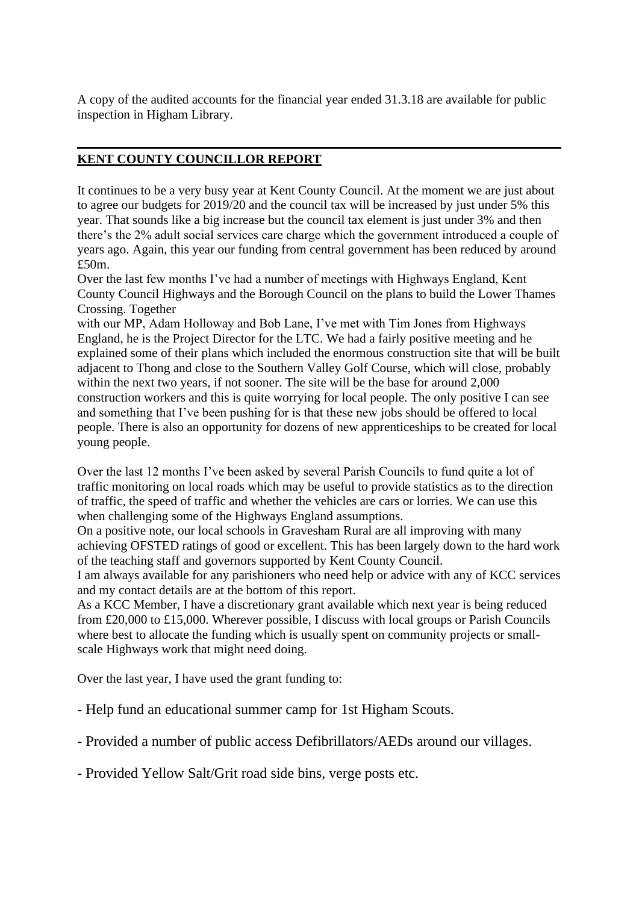A copy of the audited accounts for the financial year ended 31.3.18 are available for public inspection in Higham Library.

#### **KENT COUNTY COUNCILLOR REPORT**

It continues to be a very busy year at Kent County Council. At the moment we are just about to agree our budgets for 2019/20 and the council tax will be increased by just under 5% this year. That sounds like a big increase but the council tax element is just under 3% and then there's the 2% adult social services care charge which the government introduced a couple of years ago. Again, this year our funding from central government has been reduced by around £50m.

Over the last few months I've had a number of meetings with Highways England, Kent County Council Highways and the Borough Council on the plans to build the Lower Thames Crossing. Together

with our MP, Adam Holloway and Bob Lane, I've met with Tim Jones from Highways England, he is the Project Director for the LTC. We had a fairly positive meeting and he explained some of their plans which included the enormous construction site that will be built adjacent to Thong and close to the Southern Valley Golf Course, which will close, probably within the next two years, if not sooner. The site will be the base for around 2,000 construction workers and this is quite worrying for local people. The only positive I can see and something that I've been pushing for is that these new jobs should be offered to local people. There is also an opportunity for dozens of new apprenticeships to be created for local young people.

Over the last 12 months I've been asked by several Parish Councils to fund quite a lot of traffic monitoring on local roads which may be useful to provide statistics as to the direction of traffic, the speed of traffic and whether the vehicles are cars or lorries. We can use this when challenging some of the Highways England assumptions.

On a positive note, our local schools in Gravesham Rural are all improving with many achieving OFSTED ratings of good or excellent. This has been largely down to the hard work of the teaching staff and governors supported by Kent County Council.

I am always available for any parishioners who need help or advice with any of KCC services and my contact details are at the bottom of this report.

As a KCC Member, I have a discretionary grant available which next year is being reduced from £20,000 to £15,000. Wherever possible, I discuss with local groups or Parish Councils where best to allocate the funding which is usually spent on community projects or smallscale Highways work that might need doing.

Over the last year, I have used the grant funding to:

- Help fund an educational summer camp for 1st Higham Scouts.

- Provided a number of public access Defibrillators/AEDs around our villages.

- Provided Yellow Salt/Grit road side bins, verge posts etc.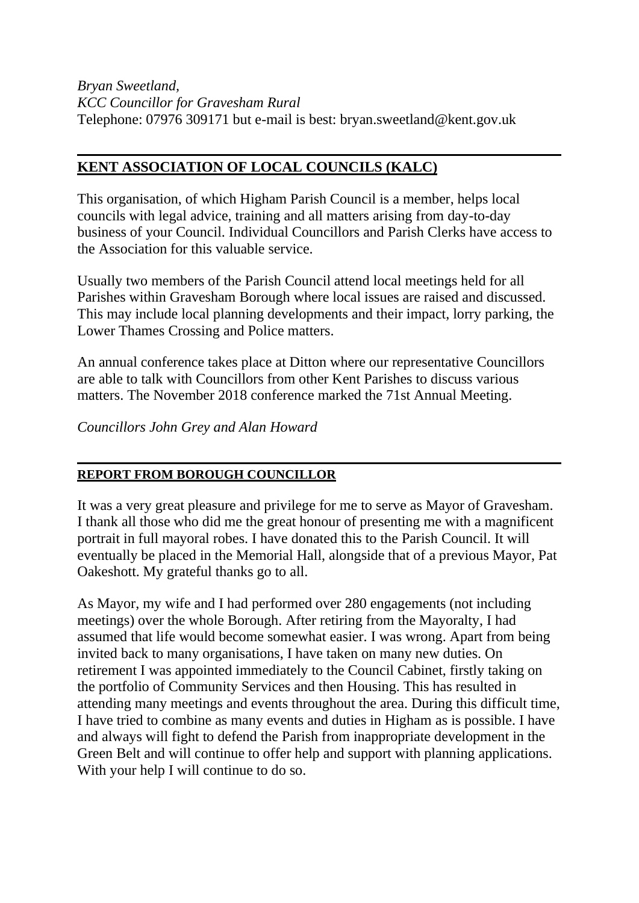*Bryan Sweetland, KCC Councillor for Gravesham Rural* Telephone: 07976 309171 but e-mail is best: bryan.sweetland@kent.gov.uk

## **KENT ASSOCIATION OF LOCAL COUNCILS (KALC)**

This organisation, of which Higham Parish Council is a member, helps local councils with legal advice, training and all matters arising from day-to-day business of your Council. Individual Councillors and Parish Clerks have access to the Association for this valuable service.

Usually two members of the Parish Council attend local meetings held for all Parishes within Gravesham Borough where local issues are raised and discussed. This may include local planning developments and their impact, lorry parking, the Lower Thames Crossing and Police matters.

An annual conference takes place at Ditton where our representative Councillors are able to talk with Councillors from other Kent Parishes to discuss various matters. The November 2018 conference marked the 71st Annual Meeting.

*Councillors John Grey and Alan Howard*

## **REPORT FROM BOROUGH COUNCILLOR**

It was a very great pleasure and privilege for me to serve as Mayor of Gravesham. I thank all those who did me the great honour of presenting me with a magnificent portrait in full mayoral robes. I have donated this to the Parish Council. It will eventually be placed in the Memorial Hall, alongside that of a previous Mayor, Pat Oakeshott. My grateful thanks go to all.

As Mayor, my wife and I had performed over 280 engagements (not including meetings) over the whole Borough. After retiring from the Mayoralty, I had assumed that life would become somewhat easier. I was wrong. Apart from being invited back to many organisations, I have taken on many new duties. On retirement I was appointed immediately to the Council Cabinet, firstly taking on the portfolio of Community Services and then Housing. This has resulted in attending many meetings and events throughout the area. During this difficult time, I have tried to combine as many events and duties in Higham as is possible. I have and always will fight to defend the Parish from inappropriate development in the Green Belt and will continue to offer help and support with planning applications. With your help I will continue to do so.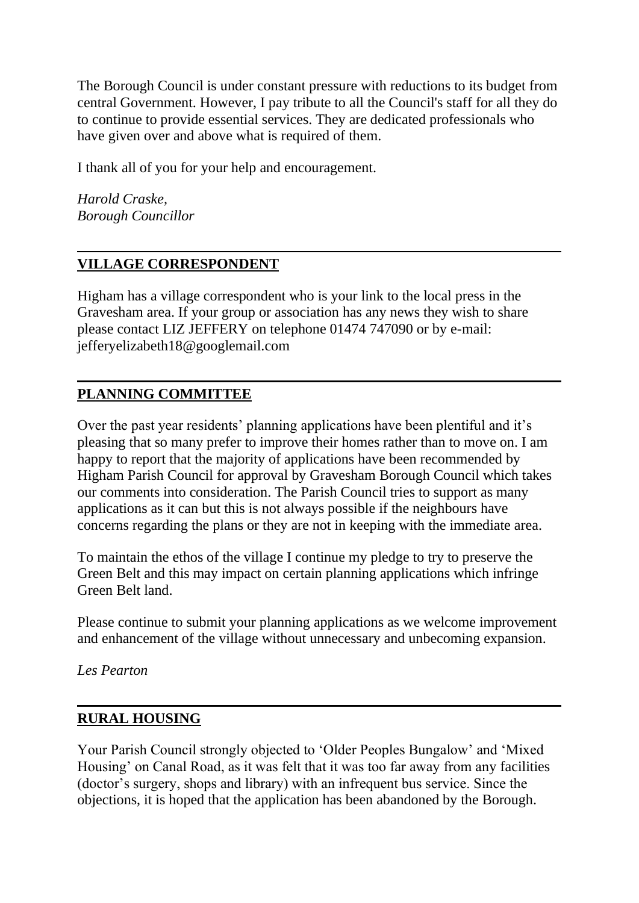The Borough Council is under constant pressure with reductions to its budget from central Government. However, I pay tribute to all the Council's staff for all they do to continue to provide essential services. They are dedicated professionals who have given over and above what is required of them.

I thank all of you for your help and encouragement.

*Harold Craske, Borough Councillor*

## **VILLAGE CORRESPONDENT**

Higham has a village correspondent who is your link to the local press in the Gravesham area. If your group or association has any news they wish to share please contact LIZ JEFFERY on telephone 01474 747090 or by e-mail: jefferyelizabeth18@googlemail.com

## **PLANNING COMMITTEE**

Over the past year residents' planning applications have been plentiful and it's pleasing that so many prefer to improve their homes rather than to move on. I am happy to report that the majority of applications have been recommended by Higham Parish Council for approval by Gravesham Borough Council which takes our comments into consideration. The Parish Council tries to support as many applications as it can but this is not always possible if the neighbours have concerns regarding the plans or they are not in keeping with the immediate area.

To maintain the ethos of the village I continue my pledge to try to preserve the Green Belt and this may impact on certain planning applications which infringe Green Belt land.

Please continue to submit your planning applications as we welcome improvement and enhancement of the village without unnecessary and unbecoming expansion.

*Les Pearton*

#### **RURAL HOUSING**

Your Parish Council strongly objected to 'Older Peoples Bungalow' and 'Mixed Housing' on Canal Road, as it was felt that it was too far away from any facilities (doctor's surgery, shops and library) with an infrequent bus service. Since the objections, it is hoped that the application has been abandoned by the Borough.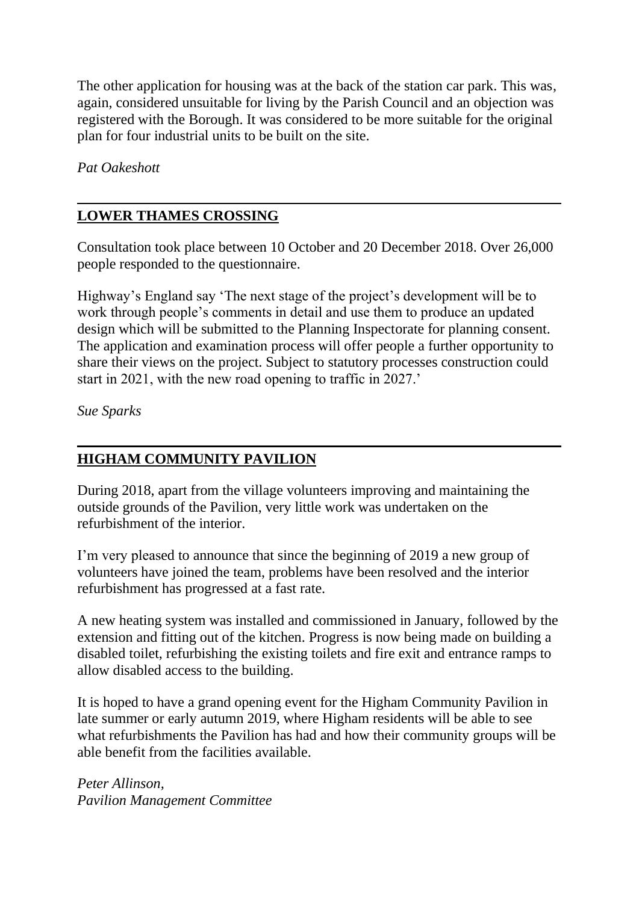The other application for housing was at the back of the station car park. This was, again, considered unsuitable for living by the Parish Council and an objection was registered with the Borough. It was considered to be more suitable for the original plan for four industrial units to be built on the site.

*Pat Oakeshott*

## **LOWER THAMES CROSSING**

Consultation took place between 10 October and 20 December 2018. Over 26,000 people responded to the questionnaire.

Highway's England say 'The next stage of the project's development will be to work through people's comments in detail and use them to produce an updated design which will be submitted to the Planning Inspectorate for planning consent. The application and examination process will offer people a further opportunity to share their views on the project. Subject to statutory processes construction could start in 2021, with the new road opening to traffic in 2027.'

*Sue Sparks*

## **HIGHAM COMMUNITY PAVILION**

During 2018, apart from the village volunteers improving and maintaining the outside grounds of the Pavilion, very little work was undertaken on the refurbishment of the interior.

I'm very pleased to announce that since the beginning of 2019 a new group of volunteers have joined the team, problems have been resolved and the interior refurbishment has progressed at a fast rate.

A new heating system was installed and commissioned in January, followed by the extension and fitting out of the kitchen. Progress is now being made on building a disabled toilet, refurbishing the existing toilets and fire exit and entrance ramps to allow disabled access to the building.

It is hoped to have a grand opening event for the Higham Community Pavilion in late summer or early autumn 2019, where Higham residents will be able to see what refurbishments the Pavilion has had and how their community groups will be able benefit from the facilities available.

*Peter Allinson, Pavilion Management Committee*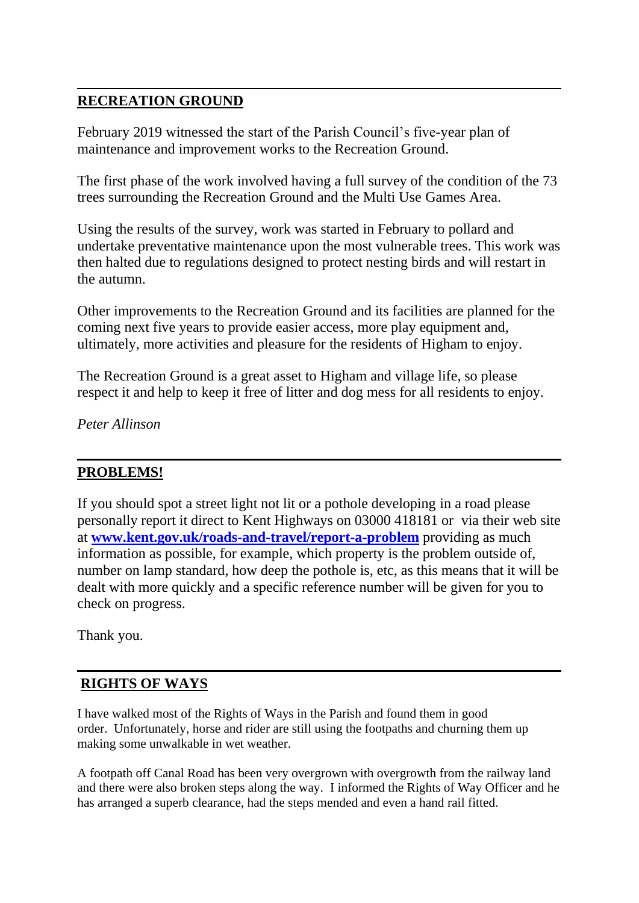## **RECREATION GROUND**

February 2019 witnessed the start of the Parish Council's five-year plan of maintenance and improvement works to the Recreation Ground.

The first phase of the work involved having a full survey of the condition of the 73 trees surrounding the Recreation Ground and the Multi Use Games Area.

Using the results of the survey, work was started in February to pollard and undertake preventative maintenance upon the most vulnerable trees. This work was then halted due to regulations designed to protect nesting birds and will restart in the autumn.

Other improvements to the Recreation Ground and its facilities are planned for the coming next five years to provide easier access, more play equipment and, ultimately, more activities and pleasure for the residents of Higham to enjoy.

The Recreation Ground is a great asset to Higham and village life, so please respect it and help to keep it free of litter and dog mess for all residents to enjoy.

*Peter Allinson*

## **PROBLEMS!**

If you should spot a street light not lit or a pothole developing in a road please personally report it direct to Kent Highways on 03000 418181 or via their web site at **[www.kent.gov.uk/roads-and-travel/report-a-problem](http://www.kent.gov.uk/roads-and-travel/report-a-problem)** providing as much information as possible, for example, which property is the problem outside of, number on lamp standard, how deep the pothole is, etc, as this means that it will be dealt with more quickly and a specific reference number will be given for you to check on progress.

Thank you.

## **RIGHTS OF WAYS**

I have walked most of the Rights of Ways in the Parish and found them in good order. Unfortunately, horse and rider are still using the footpaths and churning them up making some unwalkable in wet weather.

A footpath off Canal Road has been very overgrown with overgrowth from the railway land and there were also broken steps along the way. I informed the Rights of Way Officer and he has arranged a superb clearance, had the steps mended and even a hand rail fitted.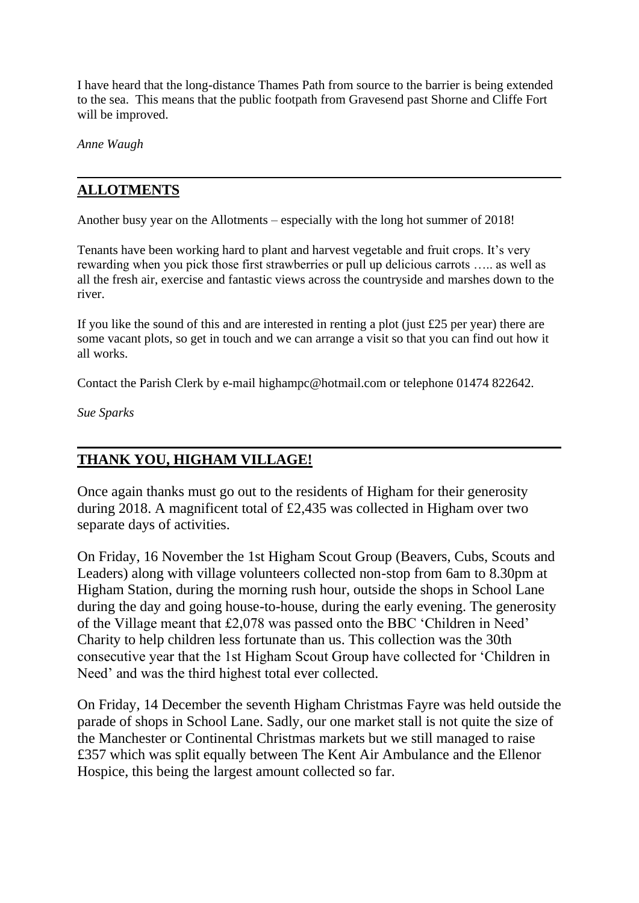I have heard that the long-distance Thames Path from source to the barrier is being extended to the sea. This means that the public footpath from Gravesend past Shorne and Cliffe Fort will be improved.

*Anne Waugh*

## **ALLOTMENTS**

Another busy year on the Allotments – especially with the long hot summer of 2018!

Tenants have been working hard to plant and harvest vegetable and fruit crops. It's very rewarding when you pick those first strawberries or pull up delicious carrots ….. as well as all the fresh air, exercise and fantastic views across the countryside and marshes down to the river.

If you like the sound of this and are interested in renting a plot (just £25 per year) there are some vacant plots, so get in touch and we can arrange a visit so that you can find out how it all works.

Contact the Parish Clerk by e-mail highampc@hotmail.com or telephone 01474 822642.

*Sue Sparks*

## **THANK YOU, HIGHAM VILLAGE!**

Once again thanks must go out to the residents of Higham for their generosity during 2018. A magnificent total of £2,435 was collected in Higham over two separate days of activities.

On Friday, 16 November the 1st Higham Scout Group (Beavers, Cubs, Scouts and Leaders) along with village volunteers collected non-stop from 6am to 8.30pm at Higham Station, during the morning rush hour, outside the shops in School Lane during the day and going house-to-house, during the early evening. The generosity of the Village meant that £2,078 was passed onto the BBC 'Children in Need' Charity to help children less fortunate than us. This collection was the 30th consecutive year that the 1st Higham Scout Group have collected for 'Children in Need' and was the third highest total ever collected.

On Friday, 14 December the seventh Higham Christmas Fayre was held outside the parade of shops in School Lane. Sadly, our one market stall is not quite the size of the Manchester or Continental Christmas markets but we still managed to raise £357 which was split equally between The Kent Air Ambulance and the Ellenor Hospice, this being the largest amount collected so far.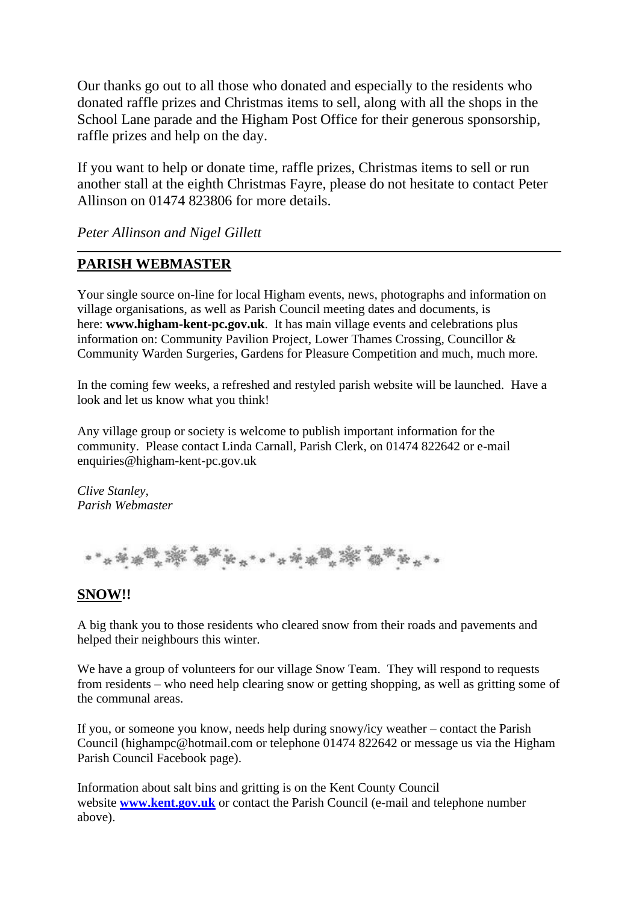Our thanks go out to all those who donated and especially to the residents who donated raffle prizes and Christmas items to sell, along with all the shops in the School Lane parade and the Higham Post Office for their generous sponsorship, raffle prizes and help on the day.

If you want to help or donate time, raffle prizes, Christmas items to sell or run another stall at the eighth Christmas Fayre, please do not hesitate to contact Peter Allinson on 01474 823806 for more details.

*Peter Allinson and Nigel Gillett*

#### **PARISH WEBMASTER**

Your single source on-line for local Higham events, news, photographs and information on village organisations, as well as Parish Council meeting dates and documents, is here: **www.higham-kent-pc.gov.uk**. It has main village events and celebrations plus information on: Community Pavilion Project, Lower Thames Crossing, Councillor & Community Warden Surgeries, Gardens for Pleasure Competition and much, much more.

In the coming few weeks, a refreshed and restyled parish website will be launched. Have a look and let us know what you think!

Any village group or society is welcome to publish important information for the community. Please contact Linda Carnall, Parish Clerk, on 01474 822642 or e-mail enquiries@higham-kent-pc.gov.uk

*Clive Stanley, Parish Webmaster*

**學學學會 \* \* \* \* \* \* \* \* \* \* \* \* \* \*** 

#### **SNOW!!**

A big thank you to those residents who cleared snow from their roads and pavements and helped their neighbours this winter.

We have a group of volunteers for our village Snow Team. They will respond to requests from residents – who need help clearing snow or getting shopping, as well as gritting some of the communal areas.

If you, or someone you know, needs help during snowy/icy weather – contact the Parish Council (highampc@hotmail.com or telephone 01474 822642 or message us via the Higham Parish Council Facebook page).

Information about salt bins and gritting is on the Kent County Council website **[www.kent.gov.uk](http://www.kent.gov.uk/)** or contact the Parish Council (e-mail and telephone number above).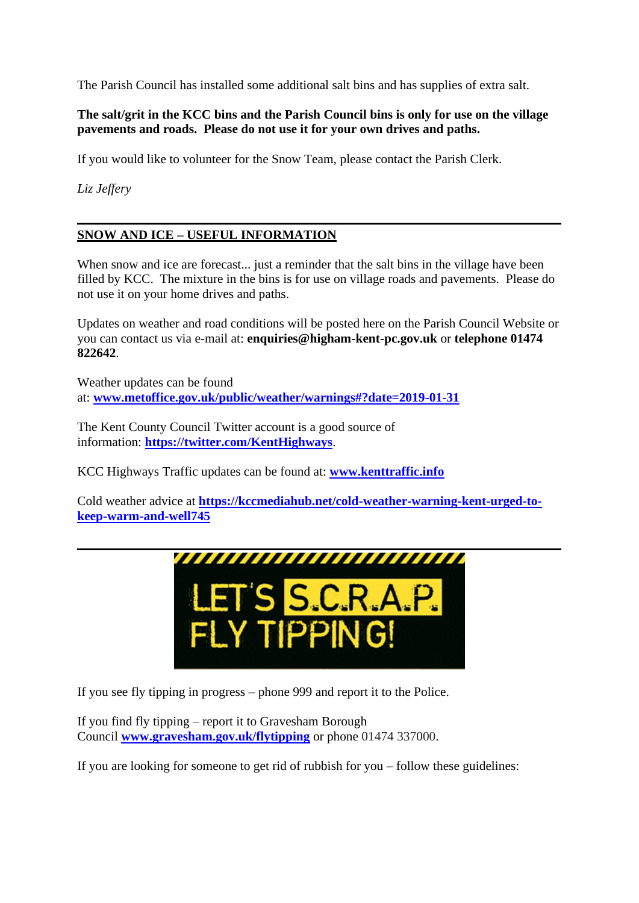The Parish Council has installed some additional salt bins and has supplies of extra salt.

**The salt/grit in the KCC bins and the Parish Council bins is only for use on the village pavements and roads. Please do not use it for your own drives and paths.**

If you would like to volunteer for the Snow Team, please contact the Parish Clerk.

*Liz Jeffery*

#### **SNOW AND ICE – USEFUL INFORMATION**

When snow and ice are forecast... just a reminder that the salt bins in the village have been filled by KCC. The mixture in the bins is for use on village roads and pavements. Please do not use it on your home drives and paths.

Updates on weather and road conditions will be posted here on the Parish Council Website or you can contact us via e-mail at: **enquiries@higham-kent-pc.gov.uk** or **telephone 01474 822642**.

Weather updates can be found at: **[www.metoffice.gov.uk/public/weather/warnings#?date=2019-01-31](http://www.metoffice.gov.uk/public/weather/warnings#?date=2019-01-31)**

The Kent County Council Twitter account is a good source of information: **<https://twitter.com/KentHighways>**.

KCC Highways Traffic updates can be found at: **[www.kenttraffic.info](http://www.kenttraffic.info/)**

Cold weather advice at **[https://kccmediahub.net/cold-weather-warning-kent-urged-to](https://kccmediahub.net/cold-weather-warning-kent-urged-to-keep-warm-and-well745)[keep-warm-and-well745](https://kccmediahub.net/cold-weather-warning-kent-urged-to-keep-warm-and-well745)**



If you see fly tipping in progress – phone 999 and report it to the Police.

If you find fly tipping – report it to Gravesham Borough Council **[www.gravesham.gov.uk/flytipping](http://www.gravesham.gov.uk/flytipping)** or phone 01474 337000.

If you are looking for someone to get rid of rubbish for you – follow these guidelines: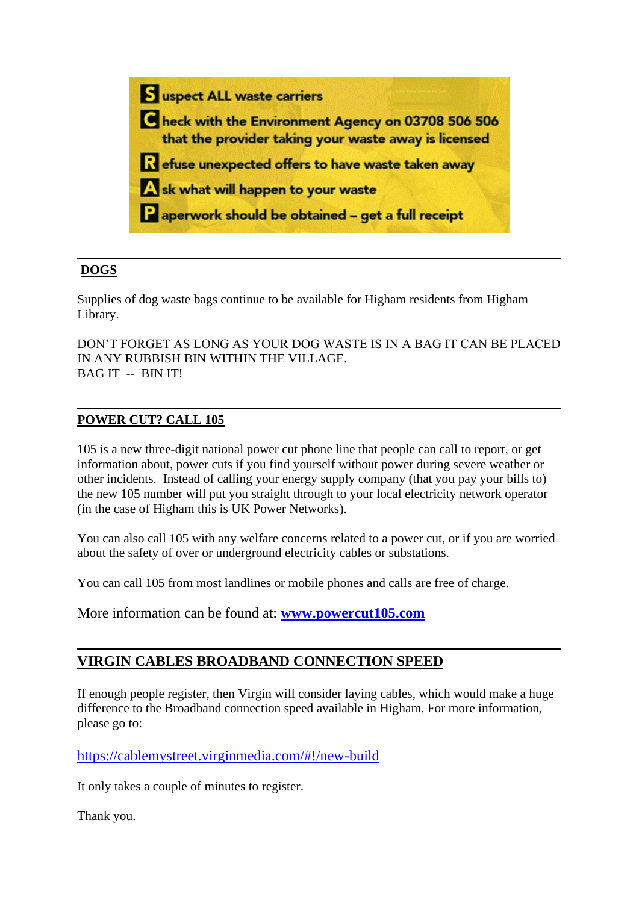

#### **DOGS**

Supplies of dog waste bags continue to be available for Higham residents from Higham Library.

DON'T FORGET AS LONG AS YOUR DOG WASTE IS IN A BAG IT CAN BE PLACED IN ANY RUBBISH BIN WITHIN THE VILLAGE. BAG IT -- BIN IT!

#### **POWER CUT? CALL 105**

105 is a new three-digit national power cut phone line that people can call to report, or get information about, power cuts if you find yourself without power during severe weather or other incidents. Instead of calling your energy supply company (that you pay your bills to) the new 105 number will put you straight through to your local electricity network operator (in the case of Higham this is UK Power Networks).

You can also call 105 with any welfare concerns related to a power cut, or if you are worried about the safety of over or underground electricity cables or substations.

You can call 105 from most landlines or mobile phones and calls are free of charge.

More information can be found at: **[www.powercut105.com](http://www.powercut105.com/)**

#### **VIRGIN CABLES BROADBAND CONNECTION SPEED**

If enough people register, then Virgin will consider laying cables, which would make a huge difference to the Broadband connection speed available in Higham. For more information, please go to:

<https://cablemystreet.virginmedia.com/#!/new-build>

It only takes a couple of minutes to register.

Thank you.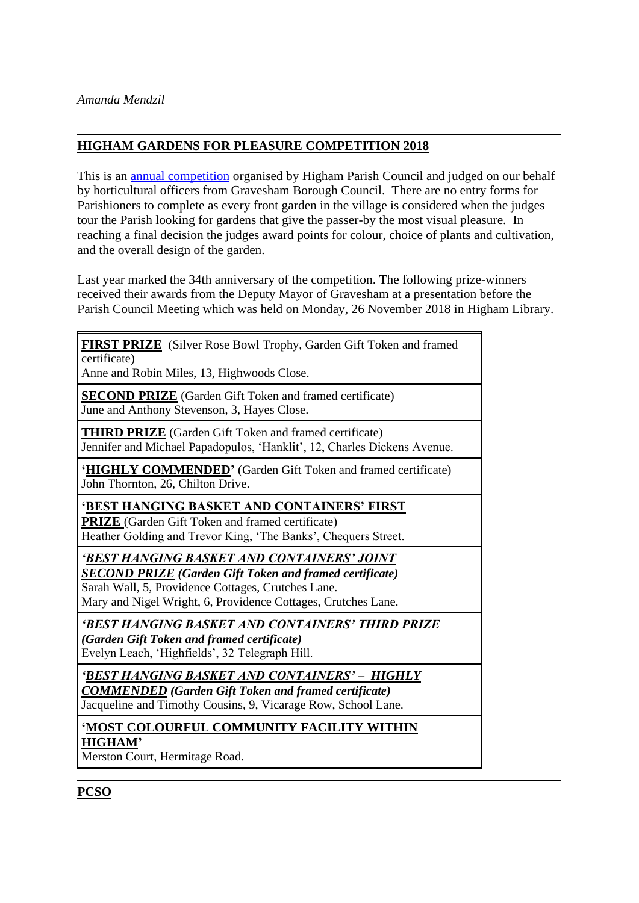#### **HIGHAM GARDENS FOR PLEASURE COMPETITION 2018**

This is an [annual competition](http://www.higham-kent-pc.gov.uk/2018/gardens.html) organised by Higham Parish Council and judged on our behalf by horticultural officers from Gravesham Borough Council. There are no entry forms for Parishioners to complete as every front garden in the village is considered when the judges tour the Parish looking for gardens that give the passer-by the most visual pleasure. In reaching a final decision the judges award points for colour, choice of plants and cultivation, and the overall design of the garden.

Last year marked the 34th anniversary of the competition. The following prize-winners received their awards from the Deputy Mayor of Gravesham at a presentation before the Parish Council Meeting which was held on Monday, 26 November 2018 in Higham Library.

| <b>FIRST PRIZE</b> (Silver Rose Bowl Trophy, Garden Gift Token and framed<br>certificate)                                                                                                                                           |
|-------------------------------------------------------------------------------------------------------------------------------------------------------------------------------------------------------------------------------------|
| Anne and Robin Miles, 13, Highwoods Close.                                                                                                                                                                                          |
| <b>SECOND PRIZE</b> (Garden Gift Token and framed certificate)<br>June and Anthony Stevenson, 3, Hayes Close.                                                                                                                       |
| <b>THIRD PRIZE</b> (Garden Gift Token and framed certificate)<br>Jennifer and Michael Papadopulos, 'Hanklit', 12, Charles Dickens Avenue.                                                                                           |
| 'HIGHLY COMMENDED' (Garden Gift Token and framed certificate)<br>John Thornton, 26, Chilton Drive.                                                                                                                                  |
| 'BEST HANGING BASKET AND CONTAINERS' FIRST<br><b>PRIZE</b> (Garden Gift Token and framed certificate)<br>Heather Golding and Trevor King, 'The Banks', Chequers Street.                                                             |
| 'BEST HANGING BASKET AND CONTAINERS' JOINT<br><b>SECOND PRIZE</b> (Garden Gift Token and framed certificate)<br>Sarah Wall, 5, Providence Cottages, Crutches Lane.<br>Mary and Nigel Wright, 6, Providence Cottages, Crutches Lane. |
| 'BEST HANGING BASKET AND CONTAINERS' THIRD PRIZE<br>(Garden Gift Token and framed certificate)<br>Evelyn Leach, 'Highfields', 32 Telegraph Hill.                                                                                    |
| 'BEST HANGING BASKET AND CONTAINERS' - HIGHLY<br><b>COMMENDED</b> (Garden Gift Token and framed certificate)<br>Jacqueline and Timothy Cousins, 9, Vicarage Row, School Lane.                                                       |
| 'MOST COLOURFUL COMMUNITY FACILITY WITHIN<br><b>HIGHAM'</b><br>Merston Court, Hermitage Road.                                                                                                                                       |

**PCSO**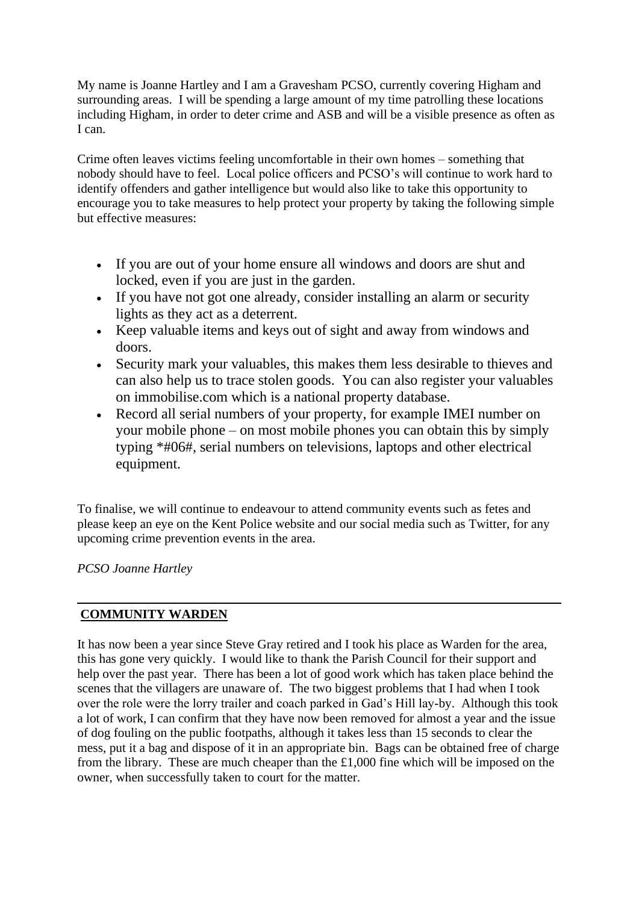My name is Joanne Hartley and I am a Gravesham PCSO, currently covering Higham and surrounding areas. I will be spending a large amount of my time patrolling these locations including Higham, in order to deter crime and ASB and will be a visible presence as often as I can.

Crime often leaves victims feeling uncomfortable in their own homes – something that nobody should have to feel. Local police officers and PCSO's will continue to work hard to identify offenders and gather intelligence but would also like to take this opportunity to encourage you to take measures to help protect your property by taking the following simple but effective measures:

- If you are out of your home ensure all windows and doors are shut and locked, even if you are just in the garden.
- If you have not got one already, consider installing an alarm or security lights as they act as a deterrent.
- Keep valuable items and keys out of sight and away from windows and doors.
- Security mark your valuables, this makes them less desirable to thieves and can also help us to trace stolen goods. You can also register your valuables on immobilise.com which is a national property database.
- Record all serial numbers of your property, for example IMEI number on your mobile phone – on most mobile phones you can obtain this by simply typing \*#06#, serial numbers on televisions, laptops and other electrical equipment.

To finalise, we will continue to endeavour to attend community events such as fetes and please keep an eye on the Kent Police website and our social media such as Twitter, for any upcoming crime prevention events in the area.

*PCSO Joanne Hartley*

#### **COMMUNITY WARDEN**

It has now been a year since Steve Gray retired and I took his place as Warden for the area, this has gone very quickly. I would like to thank the Parish Council for their support and help over the past year. There has been a lot of good work which has taken place behind the scenes that the villagers are unaware of. The two biggest problems that I had when I took over the role were the lorry trailer and coach parked in Gad's Hill lay-by. Although this took a lot of work, I can confirm that they have now been removed for almost a year and the issue of dog fouling on the public footpaths, although it takes less than 15 seconds to clear the mess, put it a bag and dispose of it in an appropriate bin. Bags can be obtained free of charge from the library. These are much cheaper than the £1,000 fine which will be imposed on the owner, when successfully taken to court for the matter.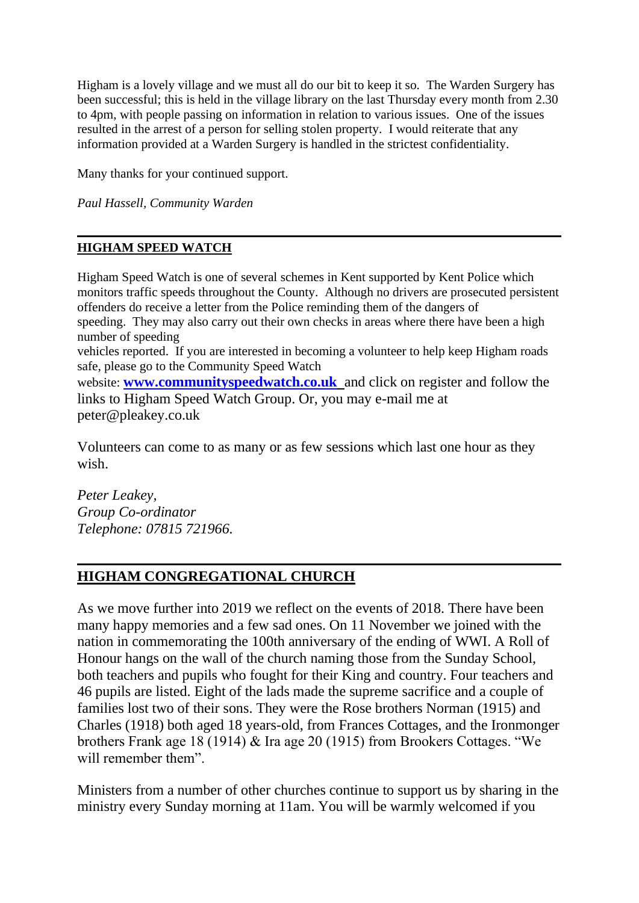Higham is a lovely village and we must all do our bit to keep it so. The Warden Surgery has been successful; this is held in the village library on the last Thursday every month from 2.30 to 4pm, with people passing on information in relation to various issues. One of the issues resulted in the arrest of a person for selling stolen property. I would reiterate that any information provided at a Warden Surgery is handled in the strictest confidentiality.

Many thanks for your continued support.

*Paul Hassell, Community Warden*

#### **HIGHAM SPEED WATCH**

Higham Speed Watch is one of several schemes in Kent supported by Kent Police which monitors traffic speeds throughout the County. Although no drivers are prosecuted persistent offenders do receive a letter from the Police reminding them of the dangers of speeding. They may also carry out their own checks in areas where there have been a high number of speeding vehicles reported. If you are interested in becoming a volunteer to help keep Higham roads safe, please go to the Community Speed Watch website: **[www.communityspeedwatch.co.uk](http://www.communityspeedwatch.co.uk/)** and click on register and follow the links to Higham Speed Watch Group. Or, you may e-mail me at peter@pleakey.co.uk

Volunteers can come to as many or as few sessions which last one hour as they wish.

*Peter Leakey, Group Co-ordinator Telephone: 07815 721966.*

## **HIGHAM CONGREGATIONAL CHURCH**

As we move further into 2019 we reflect on the events of 2018. There have been many happy memories and a few sad ones. On 11 November we joined with the nation in commemorating the 100th anniversary of the ending of WWI. A Roll of Honour hangs on the wall of the church naming those from the Sunday School, both teachers and pupils who fought for their King and country. Four teachers and 46 pupils are listed. Eight of the lads made the supreme sacrifice and a couple of families lost two of their sons. They were the Rose brothers Norman (1915) and Charles (1918) both aged 18 years-old, from Frances Cottages, and the Ironmonger brothers Frank age 18 (1914) & Ira age 20 (1915) from Brookers Cottages. "We will remember them".

Ministers from a number of other churches continue to support us by sharing in the ministry every Sunday morning at 11am. You will be warmly welcomed if you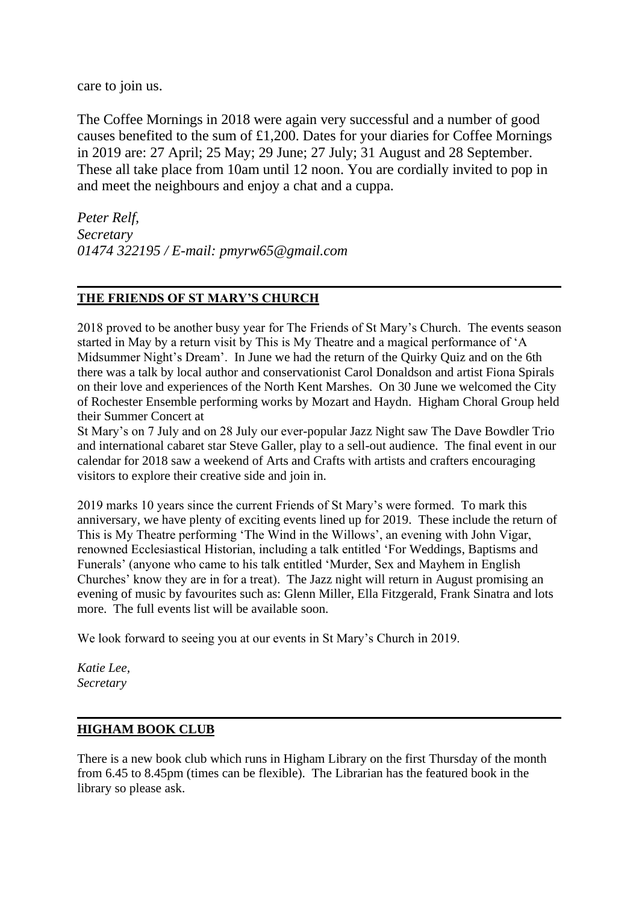care to join us.

The Coffee Mornings in 2018 were again very successful and a number of good causes benefited to the sum of £1,200. Dates for your diaries for Coffee Mornings in 2019 are: 27 April; 25 May; 29 June; 27 July; 31 August and 28 September. These all take place from 10am until 12 noon. You are cordially invited to pop in and meet the neighbours and enjoy a chat and a cuppa.

*Peter Relf, Secretary 01474 322195 / E-mail: pmyrw65@gmail.com*

#### **THE FRIENDS OF ST MARY'S CHURCH**

2018 proved to be another busy year for The Friends of St Mary's Church. The events season started in May by a return visit by This is My Theatre and a magical performance of 'A Midsummer Night's Dream'. In June we had the return of the Quirky Quiz and on the 6th there was a talk by local author and conservationist Carol Donaldson and artist Fiona Spirals on their love and experiences of the North Kent Marshes. On 30 June we welcomed the City of Rochester Ensemble performing works by Mozart and Haydn. Higham Choral Group held their Summer Concert at

St Mary's on 7 July and on 28 July our ever-popular Jazz Night saw The Dave Bowdler Trio and international cabaret star Steve Galler, play to a sell-out audience. The final event in our calendar for 2018 saw a weekend of Arts and Crafts with artists and crafters encouraging visitors to explore their creative side and join in.

2019 marks 10 years since the current Friends of St Mary's were formed. To mark this anniversary, we have plenty of exciting events lined up for 2019. These include the return of This is My Theatre performing 'The Wind in the Willows', an evening with John Vigar, renowned Ecclesiastical Historian, including a talk entitled 'For Weddings, Baptisms and Funerals' (anyone who came to his talk entitled 'Murder, Sex and Mayhem in English Churches' know they are in for a treat). The Jazz night will return in August promising an evening of music by favourites such as: Glenn Miller, Ella Fitzgerald, Frank Sinatra and lots more. The full events list will be available soon.

We look forward to seeing you at our events in St Mary's Church in 2019.

*Katie Lee, Secretary*

#### **HIGHAM BOOK CLUB**

There is a new book club which runs in Higham Library on the first Thursday of the month from 6.45 to 8.45pm (times can be flexible). The Librarian has the featured book in the library so please ask.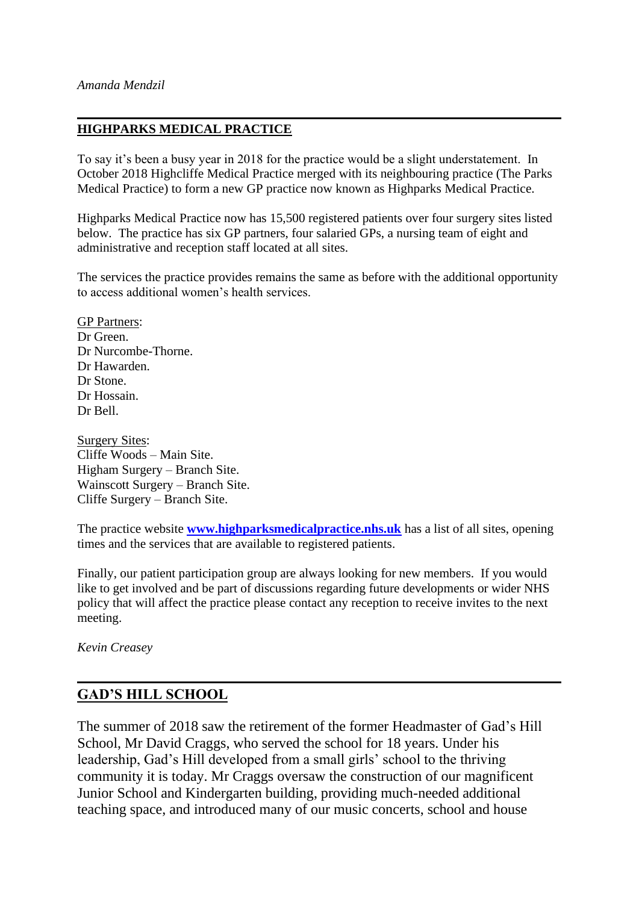#### **HIGHPARKS MEDICAL PRACTICE**

To say it's been a busy year in 2018 for the practice would be a slight understatement. In October 2018 Highcliffe Medical Practice merged with its neighbouring practice (The Parks Medical Practice) to form a new GP practice now known as Highparks Medical Practice.

Highparks Medical Practice now has 15,500 registered patients over four surgery sites listed below. The practice has six GP partners, four salaried GPs, a nursing team of eight and administrative and reception staff located at all sites.

The services the practice provides remains the same as before with the additional opportunity to access additional women's health services.

GP Partners: Dr Green. Dr Nurcombe-Thorne. Dr Hawarden. Dr Stone. Dr Hossain. Dr Bell.

Surgery Sites: Cliffe Woods – Main Site. Higham Surgery – Branch Site. Wainscott Surgery – Branch Site. Cliffe Surgery – Branch Site.

The practice website **[www.highparksmedicalpractice.nhs.uk](http://www.highparksmedicalpractice.nhs.uk/)** has a list of all sites, opening times and the services that are available to registered patients.

Finally, our patient participation group are always looking for new members. If you would like to get involved and be part of discussions regarding future developments or wider NHS policy that will affect the practice please contact any reception to receive invites to the next meeting.

*Kevin Creasey*

## **GAD'S HILL SCHOOL**

The summer of 2018 saw the retirement of the former Headmaster of Gad's Hill School, Mr David Craggs, who served the school for 18 years. Under his leadership, Gad's Hill developed from a small girls' school to the thriving community it is today. Mr Craggs oversaw the construction of our magnificent Junior School and Kindergarten building, providing much-needed additional teaching space, and introduced many of our music concerts, school and house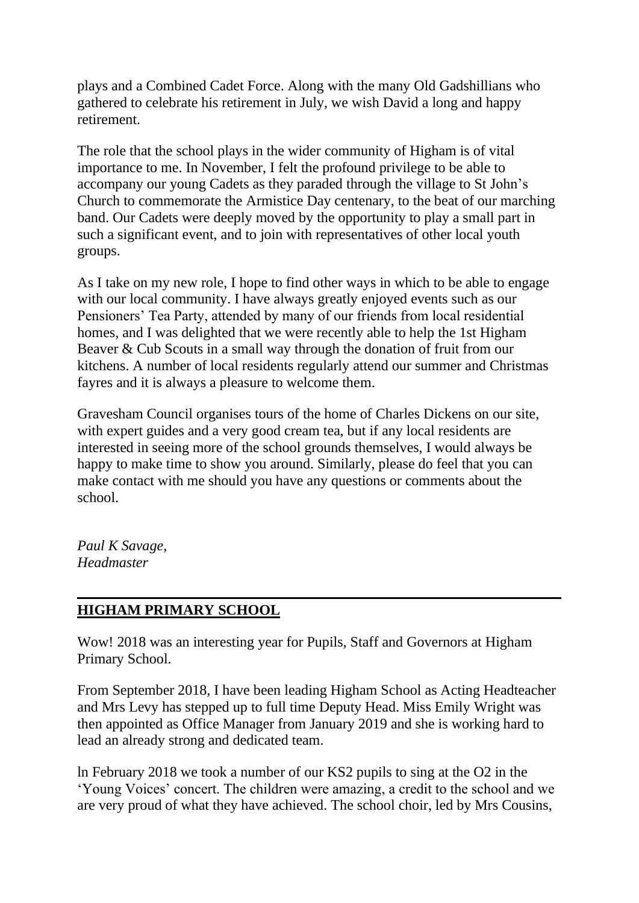plays and a Combined Cadet Force. Along with the many Old Gadshillians who gathered to celebrate his retirement in July, we wish David a long and happy retirement.

The role that the school plays in the wider community of Higham is of vital importance to me. In November, I felt the profound privilege to be able to accompany our young Cadets as they paraded through the village to St John's Church to commemorate the Armistice Day centenary, to the beat of our marching band. Our Cadets were deeply moved by the opportunity to play a small part in such a significant event, and to join with representatives of other local youth groups.

As I take on my new role, I hope to find other ways in which to be able to engage with our local community. I have always greatly enjoyed events such as our Pensioners' Tea Party, attended by many of our friends from local residential homes, and I was delighted that we were recently able to help the 1st Higham Beaver & Cub Scouts in a small way through the donation of fruit from our kitchens. A number of local residents regularly attend our summer and Christmas fayres and it is always a pleasure to welcome them.

Gravesham Council organises tours of the home of Charles Dickens on our site, with expert guides and a very good cream tea, but if any local residents are interested in seeing more of the school grounds themselves, I would always be happy to make time to show you around. Similarly, please do feel that you can make contact with me should you have any questions or comments about the school.

*Paul K Savage, Headmaster*

## **HIGHAM PRIMARY SCHOOL**

Wow! 2018 was an interesting year for Pupils, Staff and Governors at Higham Primary School.

From September 2018, I have been leading Higham School as Acting Headteacher and Mrs Levy has stepped up to full time Deputy Head. Miss Emily Wright was then appointed as Office Manager from January 2019 and she is working hard to lead an already strong and dedicated team.

ln February 2018 we took a number of our KS2 pupils to sing at the O2 in the 'Young Voices' concert. The children were amazing, a credit to the school and we are very proud of what they have achieved. The school choir, led by Mrs Cousins,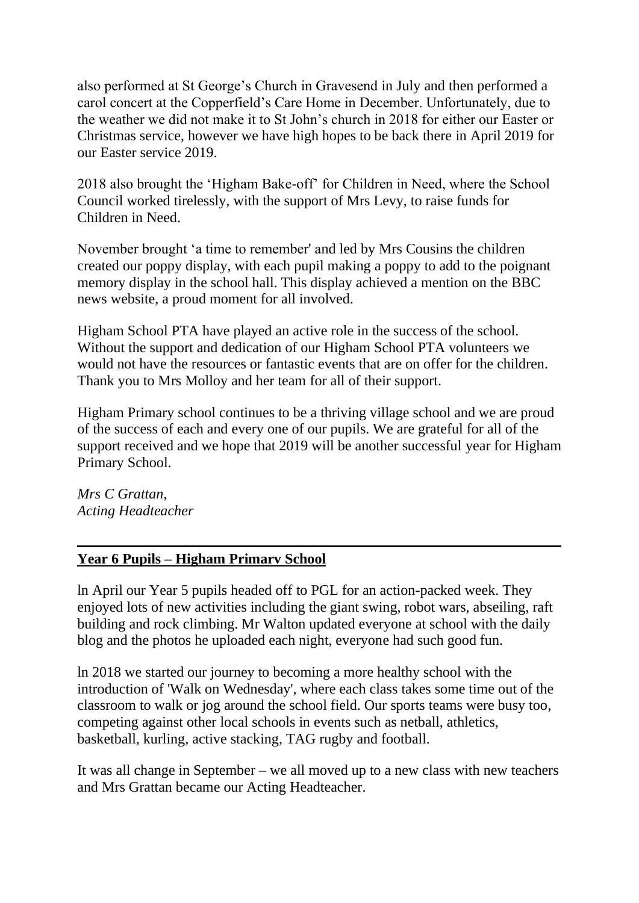also performed at St George's Church in Gravesend in July and then performed a carol concert at the Copperfield's Care Home in December. Unfortunately, due to the weather we did not make it to St John's church in 2018 for either our Easter or Christmas service, however we have high hopes to be back there in April 2019 for our Easter service 2019.

2018 also brought the 'Higham Bake-off' for Children in Need, where the School Council worked tirelessly, with the support of Mrs Levy, to raise funds for Children in Need.

November brought 'a time to remember' and led by Mrs Cousins the children created our poppy display, with each pupil making a poppy to add to the poignant memory display in the school hall. This display achieved a mention on the BBC news website, a proud moment for all involved.

Higham School PTA have played an active role in the success of the school. Without the support and dedication of our Higham School PTA volunteers we would not have the resources or fantastic events that are on offer for the children. Thank you to Mrs Molloy and her team for all of their support.

Higham Primary school continues to be a thriving village school and we are proud of the success of each and every one of our pupils. We are grateful for all of the support received and we hope that 2019 will be another successful year for Higham Primary School.

*Mrs C Grattan, Acting Headteacher*

## **Year 6 Pupils – Higham Primarv School**

ln April our Year 5 pupils headed off to PGL for an action-packed week. They enjoyed lots of new activities including the giant swing, robot wars, abseiling, raft building and rock climbing. Mr Walton updated everyone at school with the daily blog and the photos he uploaded each night, everyone had such good fun.

ln 2018 we started our journey to becoming a more healthy school with the introduction of 'Walk on Wednesday', where each class takes some time out of the classroom to walk or jog around the school field. Our sports teams were busy too, competing against other local schools in events such as netball, athletics, basketball, kurling, active stacking, TAG rugby and football.

It was all change in September – we all moved up to a new class with new teachers and Mrs Grattan became our Acting Headteacher.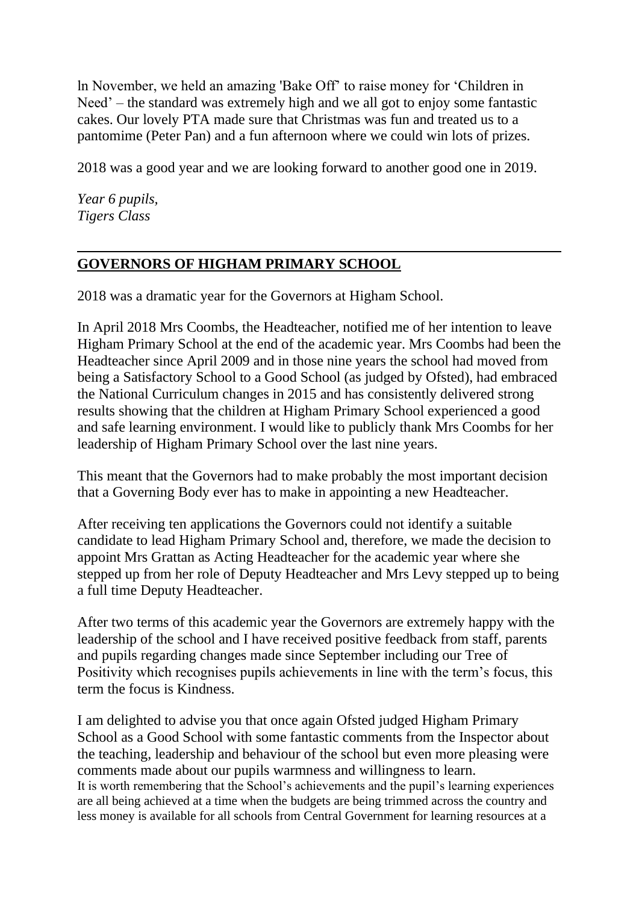ln November, we held an amazing 'Bake Off' to raise money for 'Children in Need' – the standard was extremely high and we all got to enjoy some fantastic cakes. Our lovely PTA made sure that Christmas was fun and treated us to a pantomime (Peter Pan) and a fun afternoon where we could win lots of prizes.

2018 was a good year and we are looking forward to another good one in 2019.

*Year 6 pupils, Tigers Class*

## **GOVERNORS OF HIGHAM PRIMARY SCHOOL**

2018 was a dramatic year for the Governors at Higham School.

In April 2018 Mrs Coombs, the Headteacher, notified me of her intention to leave Higham Primary School at the end of the academic year. Mrs Coombs had been the Headteacher since April 2009 and in those nine years the school had moved from being a Satisfactory School to a Good School (as judged by Ofsted), had embraced the National Curriculum changes in 2015 and has consistently delivered strong results showing that the children at Higham Primary School experienced a good and safe learning environment. I would like to publicly thank Mrs Coombs for her leadership of Higham Primary School over the last nine years.

This meant that the Governors had to make probably the most important decision that a Governing Body ever has to make in appointing a new Headteacher.

After receiving ten applications the Governors could not identify a suitable candidate to lead Higham Primary School and, therefore, we made the decision to appoint Mrs Grattan as Acting Headteacher for the academic year where she stepped up from her role of Deputy Headteacher and Mrs Levy stepped up to being a full time Deputy Headteacher.

After two terms of this academic year the Governors are extremely happy with the leadership of the school and I have received positive feedback from staff, parents and pupils regarding changes made since September including our Tree of Positivity which recognises pupils achievements in line with the term's focus, this term the focus is Kindness.

I am delighted to advise you that once again Ofsted judged Higham Primary School as a Good School with some fantastic comments from the Inspector about the teaching, leadership and behaviour of the school but even more pleasing were comments made about our pupils warmness and willingness to learn. It is worth remembering that the School's achievements and the pupil's learning experiences are all being achieved at a time when the budgets are being trimmed across the country and less money is available for all schools from Central Government for learning resources at a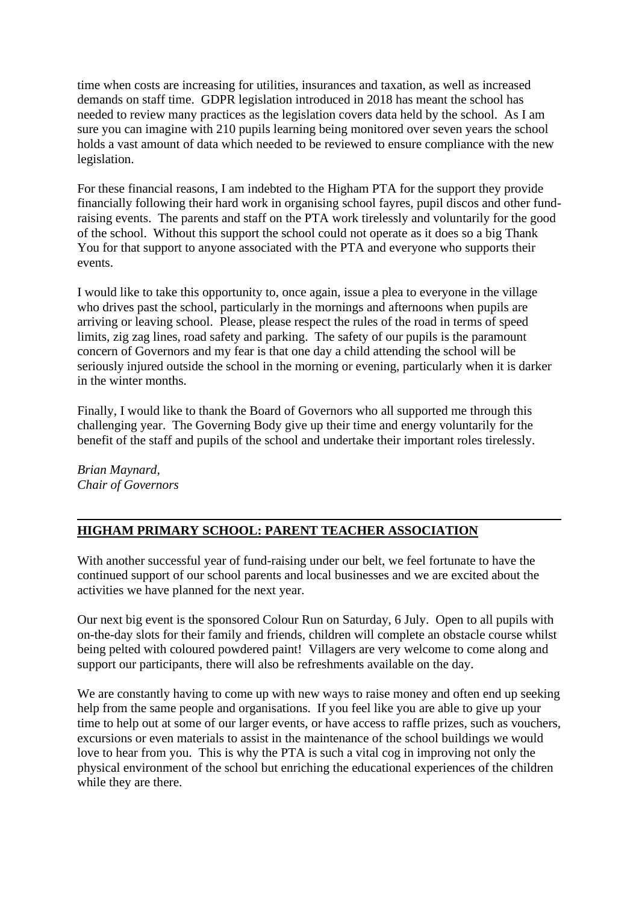time when costs are increasing for utilities, insurances and taxation, as well as increased demands on staff time. GDPR legislation introduced in 2018 has meant the school has needed to review many practices as the legislation covers data held by the school. As I am sure you can imagine with 210 pupils learning being monitored over seven years the school holds a vast amount of data which needed to be reviewed to ensure compliance with the new legislation.

For these financial reasons, I am indebted to the Higham PTA for the support they provide financially following their hard work in organising school fayres, pupil discos and other fundraising events. The parents and staff on the PTA work tirelessly and voluntarily for the good of the school. Without this support the school could not operate as it does so a big Thank You for that support to anyone associated with the PTA and everyone who supports their events.

I would like to take this opportunity to, once again, issue a plea to everyone in the village who drives past the school, particularly in the mornings and afternoons when pupils are arriving or leaving school. Please, please respect the rules of the road in terms of speed limits, zig zag lines, road safety and parking. The safety of our pupils is the paramount concern of Governors and my fear is that one day a child attending the school will be seriously injured outside the school in the morning or evening, particularly when it is darker in the winter months.

Finally, I would like to thank the Board of Governors who all supported me through this challenging year. The Governing Body give up their time and energy voluntarily for the benefit of the staff and pupils of the school and undertake their important roles tirelessly.

*Brian Maynard, Chair of Governors*

#### **HIGHAM PRIMARY SCHOOL: PARENT TEACHER ASSOCIATION**

With another successful year of fund-raising under our belt, we feel fortunate to have the continued support of our school parents and local businesses and we are excited about the activities we have planned for the next year.

Our next big event is the sponsored Colour Run on Saturday, 6 July. Open to all pupils with on-the-day slots for their family and friends, children will complete an obstacle course whilst being pelted with coloured powdered paint! Villagers are very welcome to come along and support our participants, there will also be refreshments available on the day.

We are constantly having to come up with new ways to raise money and often end up seeking help from the same people and organisations. If you feel like you are able to give up your time to help out at some of our larger events, or have access to raffle prizes, such as vouchers, excursions or even materials to assist in the maintenance of the school buildings we would love to hear from you. This is why the PTA is such a vital cog in improving not only the physical environment of the school but enriching the educational experiences of the children while they are there.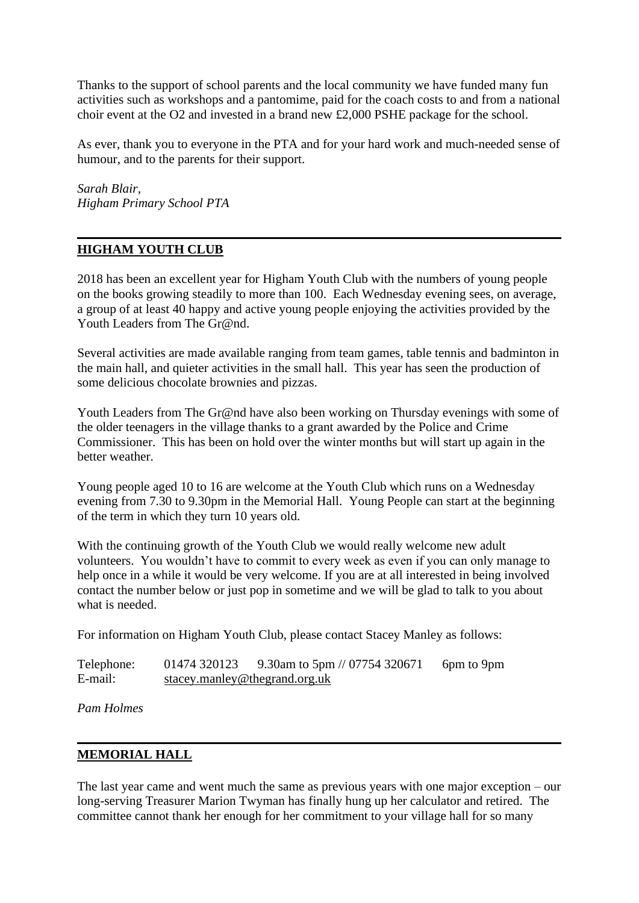Thanks to the support of school parents and the local community we have funded many fun activities such as workshops and a pantomime, paid for the coach costs to and from a national choir event at the O2 and invested in a brand new £2,000 PSHE package for the school.

As ever, thank you to everyone in the PTA and for your hard work and much-needed sense of humour, and to the parents for their support.

*Sarah Blair, Higham Primary School PTA*

#### **HIGHAM YOUTH CLUB**

2018 has been an excellent year for Higham Youth Club with the numbers of young people on the books growing steadily to more than 100. Each Wednesday evening sees, on average, a group of at least 40 happy and active young people enjoying the activities provided by the Youth Leaders from The Gr@nd.

Several activities are made available ranging from team games, table tennis and badminton in the main hall, and quieter activities in the small hall. This year has seen the production of some delicious chocolate brownies and pizzas.

Youth Leaders from The Gr@nd have also been working on Thursday evenings with some of the older teenagers in the village thanks to a grant awarded by the Police and Crime Commissioner. This has been on hold over the winter months but will start up again in the better weather.

Young people aged 10 to 16 are welcome at the Youth Club which runs on a Wednesday evening from 7.30 to 9.30pm in the Memorial Hall. Young People can start at the beginning of the term in which they turn 10 years old.

With the continuing growth of the Youth Club we would really welcome new adult volunteers. You wouldn't have to commit to every week as even if you can only manage to help once in a while it would be very welcome. If you are at all interested in being involved contact the number below or just pop in sometime and we will be glad to talk to you about what is needed.

For information on Higham Youth Club, please contact Stacey Manley as follows:

| Telephone: |                               | 01474 320123 9.30am to 5pm // 07754 320671 | 6pm to 9pm |
|------------|-------------------------------|--------------------------------------------|------------|
| E-mail:    | stacey.manley@thegrand.org.uk |                                            |            |

*Pam Holmes*

#### **MEMORIAL HALL**

The last year came and went much the same as previous years with one major exception – our long-serving Treasurer Marion Twyman has finally hung up her calculator and retired. The committee cannot thank her enough for her commitment to your village hall for so many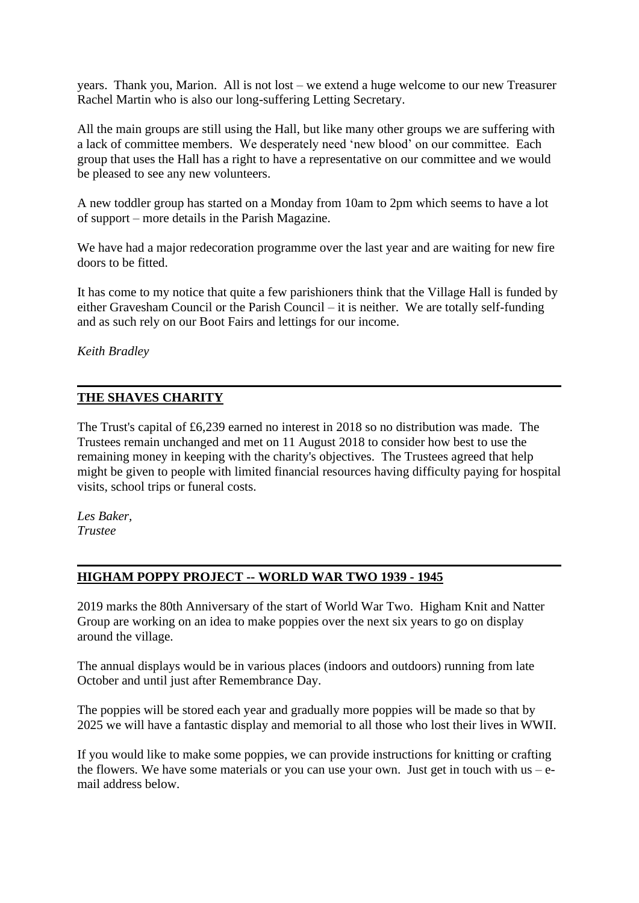years. Thank you, Marion. All is not lost – we extend a huge welcome to our new Treasurer Rachel Martin who is also our long-suffering Letting Secretary.

All the main groups are still using the Hall, but like many other groups we are suffering with a lack of committee members. We desperately need 'new blood' on our committee. Each group that uses the Hall has a right to have a representative on our committee and we would be pleased to see any new volunteers.

A new toddler group has started on a Monday from 10am to 2pm which seems to have a lot of support – more details in the Parish Magazine.

We have had a major redecoration programme over the last year and are waiting for new fire doors to be fitted.

It has come to my notice that quite a few parishioners think that the Village Hall is funded by either Gravesham Council or the Parish Council – it is neither. We are totally self-funding and as such rely on our Boot Fairs and lettings for our income.

*Keith Bradley*

#### **THE SHAVES CHARITY**

The Trust's capital of £6,239 earned no interest in 2018 so no distribution was made. The Trustees remain unchanged and met on 11 August 2018 to consider how best to use the remaining money in keeping with the charity's objectives. The Trustees agreed that help might be given to people with limited financial resources having difficulty paying for hospital visits, school trips or funeral costs.

*Les Baker, Trustee*

#### **HIGHAM POPPY PROJECT -- WORLD WAR TWO 1939 - 1945**

2019 marks the 80th Anniversary of the start of World War Two. Higham Knit and Natter Group are working on an idea to make poppies over the next six years to go on display around the village.

The annual displays would be in various places (indoors and outdoors) running from late October and until just after Remembrance Day.

The poppies will be stored each year and gradually more poppies will be made so that by 2025 we will have a fantastic display and memorial to all those who lost their lives in WWII.

If you would like to make some poppies, we can provide instructions for knitting or crafting the flowers. We have some materials or you can use your own. Just get in touch with us  $-e$ mail address below.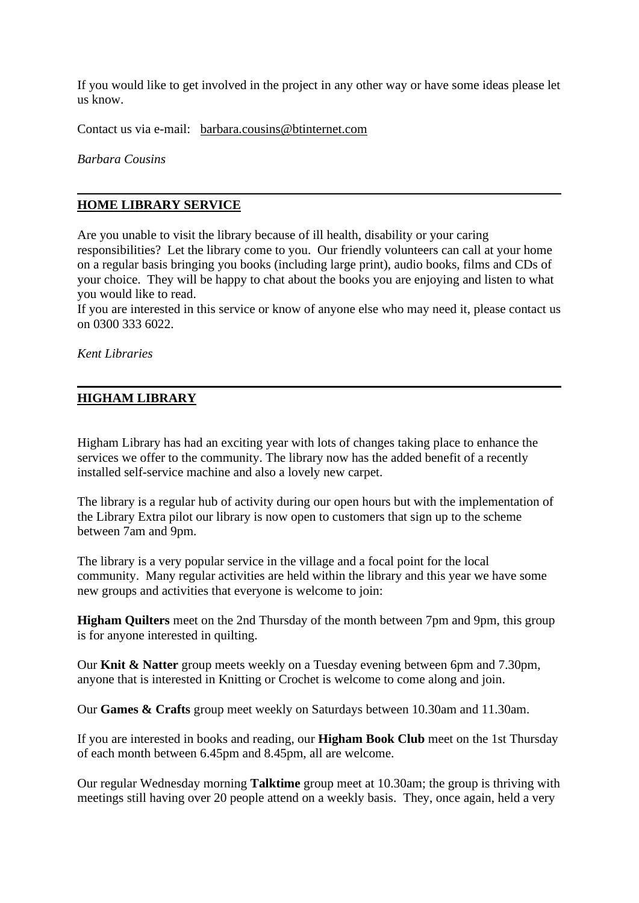If you would like to get involved in the project in any other way or have some ideas please let us know.

Contact us via e-mail: [barbara.cousins@btinternet.com](mailto:barbara.cousins@btinternet.com)

*Barbara Cousins*

#### **HOME LIBRARY SERVICE**

Are you unable to visit the library because of ill health, disability or your caring responsibilities? Let the library come to you. Our friendly volunteers can call at your home on a regular basis bringing you books (including large print), audio books, films and CDs of your choice. They will be happy to chat about the books you are enjoying and listen to what you would like to read.

If you are interested in this service or know of anyone else who may need it, please contact us on 0300 333 6022.

*Kent Libraries*

#### **HIGHAM LIBRARY**

Higham Library has had an exciting year with lots of changes taking place to enhance the services we offer to the community. The library now has the added benefit of a recently installed self-service machine and also a lovely new carpet.

The library is a regular hub of activity during our open hours but with the implementation of the Library Extra pilot our library is now open to customers that sign up to the scheme between 7am and 9pm.

The library is a very popular service in the village and a focal point for the local community. Many regular activities are held within the library and this year we have some new groups and activities that everyone is welcome to join:

**Higham Quilters** meet on the 2nd Thursday of the month between 7pm and 9pm, this group is for anyone interested in quilting.

Our **Knit & Natter** group meets weekly on a Tuesday evening between 6pm and 7.30pm, anyone that is interested in Knitting or Crochet is welcome to come along and join.

Our **Games & Crafts** group meet weekly on Saturdays between 10.30am and 11.30am.

If you are interested in books and reading, our **Higham Book Club** meet on the 1st Thursday of each month between 6.45pm and 8.45pm, all are welcome.

Our regular Wednesday morning **Talktime** group meet at 10.30am; the group is thriving with meetings still having over 20 people attend on a weekly basis. They, once again, held a very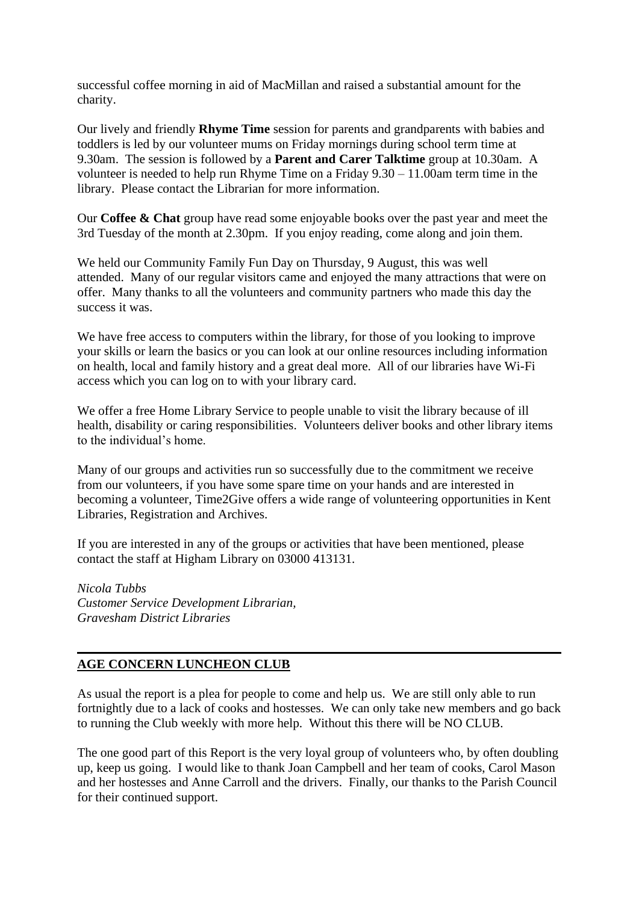successful coffee morning in aid of MacMillan and raised a substantial amount for the charity.

Our lively and friendly **Rhyme Time** session for parents and grandparents with babies and toddlers is led by our volunteer mums on Friday mornings during school term time at 9.30am. The session is followed by a **Parent and Carer Talktime** group at 10.30am. A volunteer is needed to help run Rhyme Time on a Friday 9.30 – 11.00am term time in the library. Please contact the Librarian for more information.

Our **Coffee & Chat** group have read some enjoyable books over the past year and meet the 3rd Tuesday of the month at 2.30pm. If you enjoy reading, come along and join them.

We held our Community Family Fun Day on Thursday, 9 August, this was well attended. Many of our regular visitors came and enjoyed the many attractions that were on offer. Many thanks to all the volunteers and community partners who made this day the success it was.

We have free access to computers within the library, for those of you looking to improve your skills or learn the basics or you can look at our online resources including information on health, local and family history and a great deal more. All of our libraries have Wi-Fi access which you can log on to with your library card.

We offer a free Home Library Service to people unable to visit the library because of ill health, disability or caring responsibilities. Volunteers deliver books and other library items to the individual's home.

Many of our groups and activities run so successfully due to the commitment we receive from our volunteers, if you have some spare time on your hands and are interested in becoming a volunteer, Time2Give offers a wide range of volunteering opportunities in Kent Libraries, Registration and Archives.

If you are interested in any of the groups or activities that have been mentioned, please contact the staff at Higham Library on 03000 413131.

*Nicola Tubbs Customer Service Development Librarian, Gravesham District Libraries*

#### **AGE CONCERN LUNCHEON CLUB**

As usual the report is a plea for people to come and help us. We are still only able to run fortnightly due to a lack of cooks and hostesses. We can only take new members and go back to running the Club weekly with more help. Without this there will be NO CLUB.

The one good part of this Report is the very loyal group of volunteers who, by often doubling up, keep us going. I would like to thank Joan Campbell and her team of cooks, Carol Mason and her hostesses and Anne Carroll and the drivers. Finally, our thanks to the Parish Council for their continued support.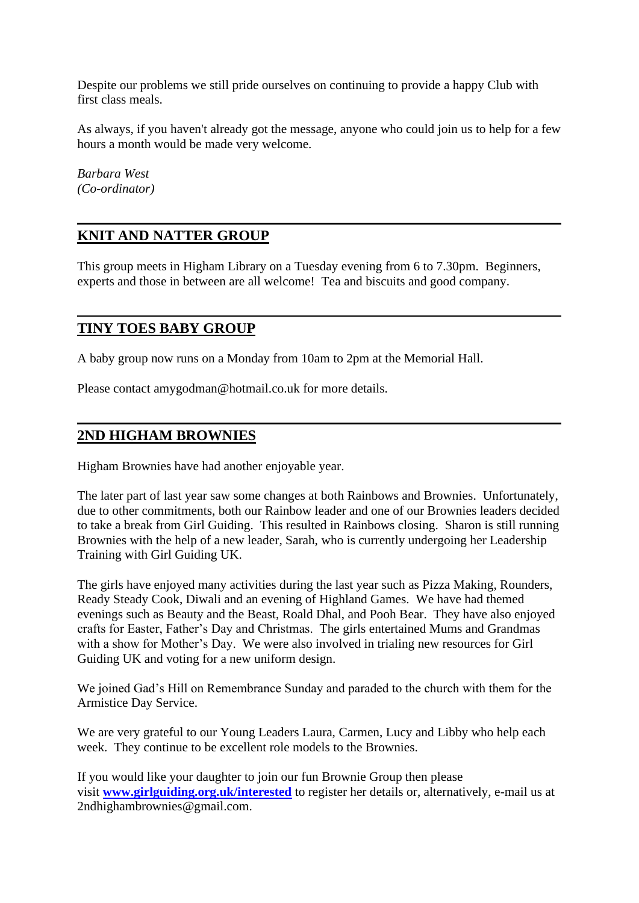Despite our problems we still pride ourselves on continuing to provide a happy Club with first class meals.

As always, if you haven't already got the message, anyone who could join us to help for a few hours a month would be made very welcome.

*Barbara West (Co-ordinator)*

## **KNIT AND NATTER GROUP**

This group meets in Higham Library on a Tuesday evening from 6 to 7.30pm. Beginners, experts and those in between are all welcome! Tea and biscuits and good company.

## **TINY TOES BABY GROUP**

A baby group now runs on a Monday from 10am to 2pm at the Memorial Hall.

Please contact amygodman@hotmail.co.uk for more details.

## **2ND HIGHAM BROWNIES**

Higham Brownies have had another enjoyable year.

The later part of last year saw some changes at both Rainbows and Brownies. Unfortunately, due to other commitments, both our Rainbow leader and one of our Brownies leaders decided to take a break from Girl Guiding. This resulted in Rainbows closing. Sharon is still running Brownies with the help of a new leader, Sarah, who is currently undergoing her Leadership Training with Girl Guiding UK.

The girls have enjoyed many activities during the last year such as Pizza Making, Rounders, Ready Steady Cook, Diwali and an evening of Highland Games. We have had themed evenings such as Beauty and the Beast, Roald Dhal, and Pooh Bear. They have also enjoyed crafts for Easter, Father's Day and Christmas. The girls entertained Mums and Grandmas with a show for Mother's Day. We were also involved in trialing new resources for Girl Guiding UK and voting for a new uniform design.

We joined Gad's Hill on Remembrance Sunday and paraded to the church with them for the Armistice Day Service.

We are very grateful to our Young Leaders Laura, Carmen, Lucy and Libby who help each week. They continue to be excellent role models to the Brownies.

If you would like your daughter to join our fun Brownie Group then please visit **[www.girlguiding.org.uk/interested](http://www.girlguiding.org.uk/interested)** to register her details or, alternatively, e-mail us at 2ndhighambrownies@gmail.com.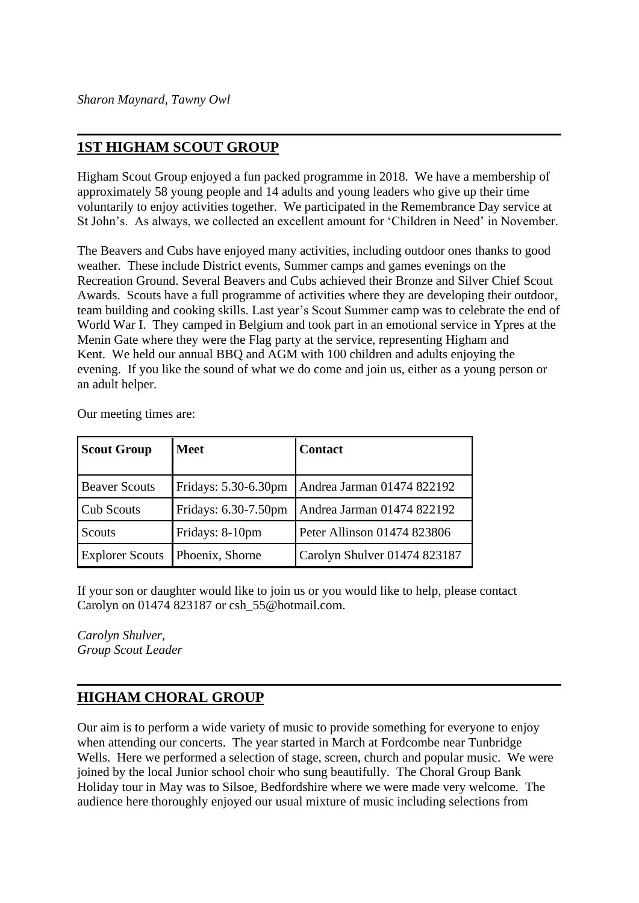## **1ST HIGHAM SCOUT GROUP**

Higham Scout Group enjoyed a fun packed programme in 2018. We have a membership of approximately 58 young people and 14 adults and young leaders who give up their time voluntarily to enjoy activities together. We participated in the Remembrance Day service at St John's. As always, we collected an excellent amount for 'Children in Need' in November.

The Beavers and Cubs have enjoyed many activities, including outdoor ones thanks to good weather. These include District events, Summer camps and games evenings on the Recreation Ground. Several Beavers and Cubs achieved their Bronze and Silver Chief Scout Awards. Scouts have a full programme of activities where they are developing their outdoor, team building and cooking skills. Last year's Scout Summer camp was to celebrate the end of World War I. They camped in Belgium and took part in an emotional service in Ypres at the Menin Gate where they were the Flag party at the service, representing Higham and Kent. We held our annual BBQ and AGM with 100 children and adults enjoying the evening. If you like the sound of what we do come and join us, either as a young person or an adult helper.

| <b>Scout Group</b>     | <b>Meet</b>          | <b>Contact</b>               |
|------------------------|----------------------|------------------------------|
| <b>Beaver Scouts</b>   | Fridays: 5.30-6.30pm | Andrea Jarman 01474 822192   |
| <b>Cub Scouts</b>      | Fridays: 6.30-7.50pm | Andrea Jarman 01474 822192   |
| Scouts                 | Fridays: 8-10pm      | Peter Allinson 01474 823806  |
| <b>Explorer Scouts</b> | Phoenix, Shorne      | Carolyn Shulver 01474 823187 |

Our meeting times are:

If your son or daughter would like to join us or you would like to help, please contact Carolyn on 01474 823187 or csh\_55@hotmail.com.

*Carolyn Shulver, Group Scout Leader*

#### **HIGHAM CHORAL GROUP**

Our aim is to perform a wide variety of music to provide something for everyone to enjoy when attending our concerts. The year started in March at Fordcombe near Tunbridge Wells. Here we performed a selection of stage, screen, church and popular music. We were joined by the local Junior school choir who sung beautifully. The Choral Group Bank Holiday tour in May was to Silsoe, Bedfordshire where we were made very welcome. The audience here thoroughly enjoyed our usual mixture of music including selections from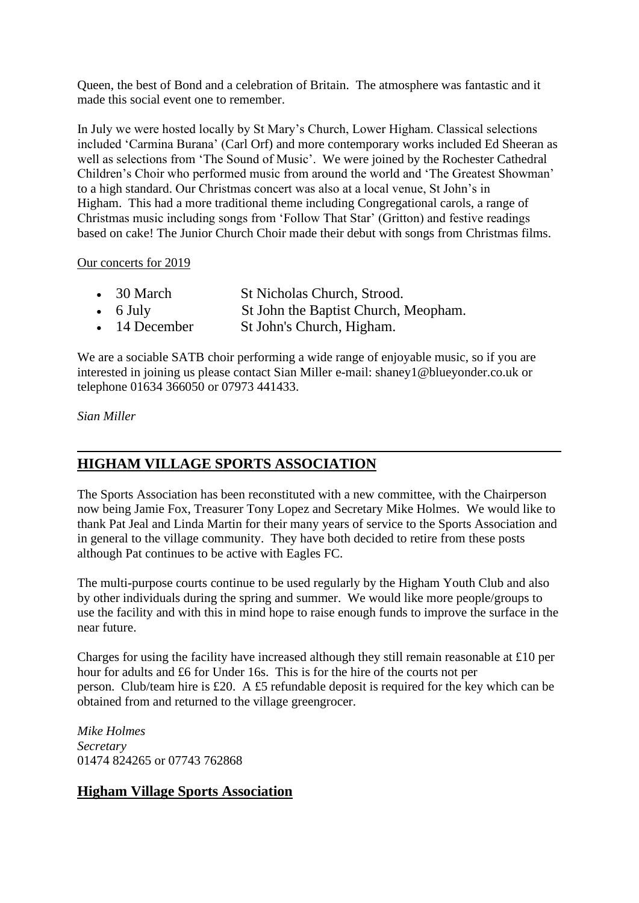Queen, the best of Bond and a celebration of Britain. The atmosphere was fantastic and it made this social event one to remember.

In July we were hosted locally by St Mary's Church, Lower Higham. Classical selections included 'Carmina Burana' (Carl Orf) and more contemporary works included Ed Sheeran as well as selections from 'The Sound of Music'. We were joined by the Rochester Cathedral Children's Choir who performed music from around the world and 'The Greatest Showman' to a high standard. Our Christmas concert was also at a local venue, St John's in Higham. This had a more traditional theme including Congregational carols, a range of Christmas music including songs from 'Follow That Star' (Gritton) and festive readings based on cake! The Junior Church Choir made their debut with songs from Christmas films.

#### Our concerts for 2019

| $\bullet$ 30 March    | St Nicholas Church, Strood.          |
|-----------------------|--------------------------------------|
| $\bullet$ 6 July      | St John the Baptist Church, Meopham. |
| $\bullet$ 14 December | St John's Church, Higham.            |

We are a sociable SATB choir performing a wide range of enjoyable music, so if you are interested in joining us please contact Sian Miller e-mail: shaney1@blueyonder.co.uk or telephone 01634 366050 or 07973 441433.

#### *Sian Miller*

## **HIGHAM VILLAGE SPORTS ASSOCIATION**

The Sports Association has been reconstituted with a new committee, with the Chairperson now being Jamie Fox, Treasurer Tony Lopez and Secretary Mike Holmes. We would like to thank Pat Jeal and Linda Martin for their many years of service to the Sports Association and in general to the village community. They have both decided to retire from these posts although Pat continues to be active with Eagles FC.

The multi-purpose courts continue to be used regularly by the Higham Youth Club and also by other individuals during the spring and summer. We would like more people/groups to use the facility and with this in mind hope to raise enough funds to improve the surface in the near future.

Charges for using the facility have increased although they still remain reasonable at £10 per hour for adults and £6 for Under 16s. This is for the hire of the courts not per person. Club/team hire is £20. A £5 refundable deposit is required for the key which can be obtained from and returned to the village greengrocer.

*Mike Holmes Secretary* 01474 824265 or 07743 762868

#### **Higham Village Sports Association**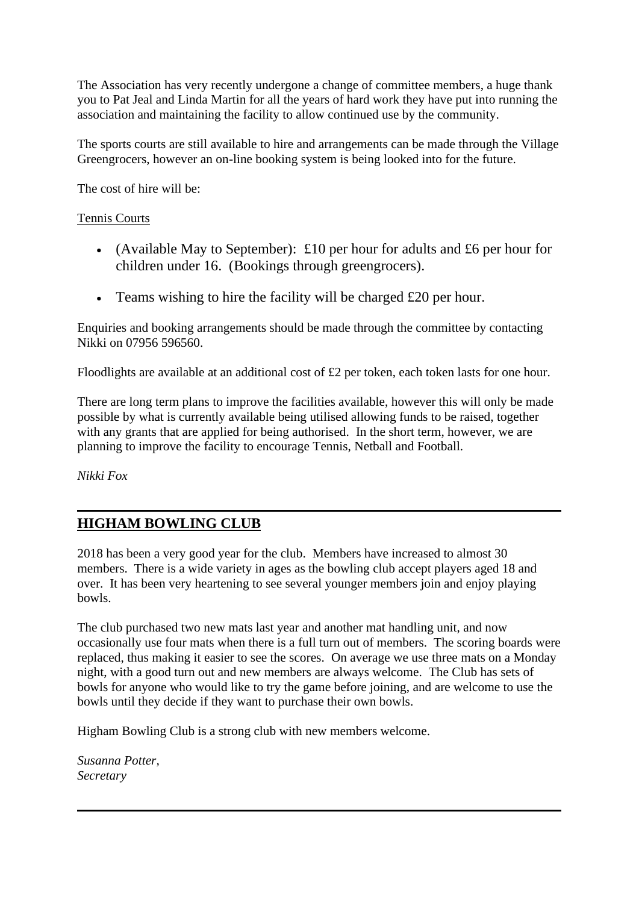The Association has very recently undergone a change of committee members, a huge thank you to Pat Jeal and Linda Martin for all the years of hard work they have put into running the association and maintaining the facility to allow continued use by the community.

The sports courts are still available to hire and arrangements can be made through the Village Greengrocers, however an on-line booking system is being looked into for the future.

The cost of hire will be:

#### Tennis Courts

- (Available May to September): £10 per hour for adults and £6 per hour for children under 16. (Bookings through greengrocers).
- Teams wishing to hire the facility will be charged £20 per hour.

Enquiries and booking arrangements should be made through the committee by contacting Nikki on 07956 596560.

Floodlights are available at an additional cost of £2 per token, each token lasts for one hour.

There are long term plans to improve the facilities available, however this will only be made possible by what is currently available being utilised allowing funds to be raised, together with any grants that are applied for being authorised. In the short term, however, we are planning to improve the facility to encourage Tennis, Netball and Football.

*Nikki Fox*

## **HIGHAM BOWLING CLUB**

2018 has been a very good year for the club. Members have increased to almost 30 members. There is a wide variety in ages as the bowling club accept players aged 18 and over. It has been very heartening to see several younger members join and enjoy playing bowls.

The club purchased two new mats last year and another mat handling unit, and now occasionally use four mats when there is a full turn out of members. The scoring boards were replaced, thus making it easier to see the scores. On average we use three mats on a Monday night, with a good turn out and new members are always welcome. The Club has sets of bowls for anyone who would like to try the game before joining, and are welcome to use the bowls until they decide if they want to purchase their own bowls.

Higham Bowling Club is a strong club with new members welcome.

*Susanna Potter, Secretary*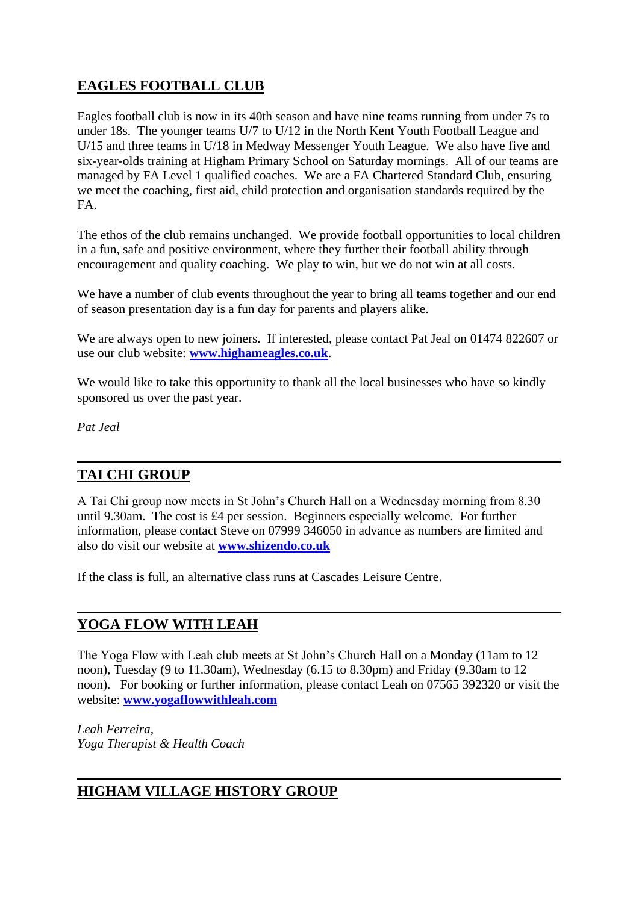## **EAGLES FOOTBALL CLUB**

Eagles football club is now in its 40th season and have nine teams running from under 7s to under 18s. The younger teams U/7 to U/12 in the North Kent Youth Football League and U/15 and three teams in U/18 in Medway Messenger Youth League. We also have five and six-year-olds training at Higham Primary School on Saturday mornings. All of our teams are managed by FA Level 1 qualified coaches. We are a FA Chartered Standard Club, ensuring we meet the coaching, first aid, child protection and organisation standards required by the FA.

The ethos of the club remains unchanged. We provide football opportunities to local children in a fun, safe and positive environment, where they further their football ability through encouragement and quality coaching. We play to win, but we do not win at all costs.

We have a number of club events throughout the year to bring all teams together and our end of season presentation day is a fun day for parents and players alike.

We are always open to new joiners. If interested, please contact Pat Jeal on 01474 822607 or use our club website: **[www.highameagles.co.uk](http://www.highameagles.co.uk/)**.

We would like to take this opportunity to thank all the local businesses who have so kindly sponsored us over the past year.

*Pat Jeal* 

## **TAI CHI GROUP**

A Tai Chi group now meets in St John's Church Hall on a Wednesday morning from 8.30 until 9.30am. The cost is £4 per session. Beginners especially welcome. For further information, please contact Steve on 07999 346050 in advance as numbers are limited and also do visit our website at **[www.shizendo.co.uk](http://www.shizendo.co.uk/)**

If the class is full, an alternative class runs at Cascades Leisure Centre.

## **YOGA FLOW WITH LEAH**

The Yoga Flow with Leah club meets at St John's Church Hall on a Monday (11am to 12 noon), Tuesday (9 to 11.30am), Wednesday (6.15 to 8.30pm) and Friday (9.30am to 12 noon). For booking or further information, please contact Leah on 07565 392320 or visit the website: **[www.yogaflowwithleah.com](http://www.yogaflowwithleah.com/)**

*Leah Ferreira, Yoga Therapist & Health Coach*

## **HIGHAM VILLAGE HISTORY GROUP**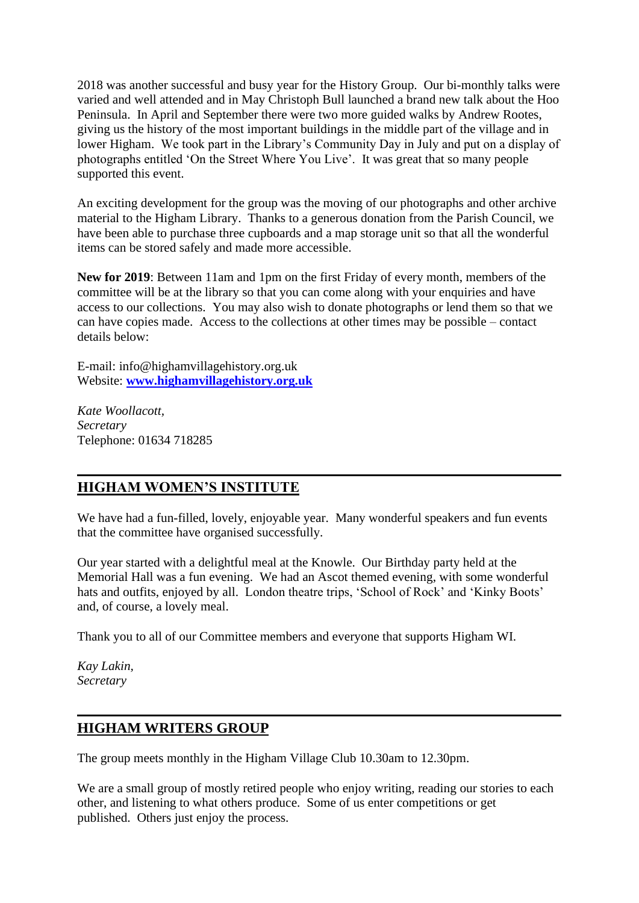2018 was another successful and busy year for the History Group. Our bi-monthly talks were varied and well attended and in May Christoph Bull launched a brand new talk about the Hoo Peninsula. In April and September there were two more guided walks by Andrew Rootes, giving us the history of the most important buildings in the middle part of the village and in lower Higham. We took part in the Library's Community Day in July and put on a display of photographs entitled 'On the Street Where You Live'. It was great that so many people supported this event.

An exciting development for the group was the moving of our photographs and other archive material to the Higham Library. Thanks to a generous donation from the Parish Council, we have been able to purchase three cupboards and a map storage unit so that all the wonderful items can be stored safely and made more accessible.

**New for 2019**: Between 11am and 1pm on the first Friday of every month, members of the committee will be at the library so that you can come along with your enquiries and have access to our collections. You may also wish to donate photographs or lend them so that we can have copies made. Access to the collections at other times may be possible – contact details below:

E-mail: info@highamvillagehistory.org.uk Website: **[www.highamvillagehistory.org.uk](http://www.highamvillagehistory.org.uk/)**

*Kate Woollacott, Secretary* Telephone: 01634 718285

## **HIGHAM WOMEN'S INSTITUTE**

We have had a fun-filled, lovely, enjoyable year. Many wonderful speakers and fun events that the committee have organised successfully.

Our year started with a delightful meal at the Knowle. Our Birthday party held at the Memorial Hall was a fun evening. We had an Ascot themed evening, with some wonderful hats and outfits, enjoyed by all. London theatre trips, 'School of Rock' and 'Kinky Boots' and, of course, a lovely meal.

Thank you to all of our Committee members and everyone that supports Higham WI.

*Kay Lakin, Secretary*

## **HIGHAM WRITERS GROUP**

The group meets monthly in the Higham Village Club 10.30am to 12.30pm.

We are a small group of mostly retired people who enjoy writing, reading our stories to each other, and listening to what others produce. Some of us enter competitions or get published. Others just enjoy the process.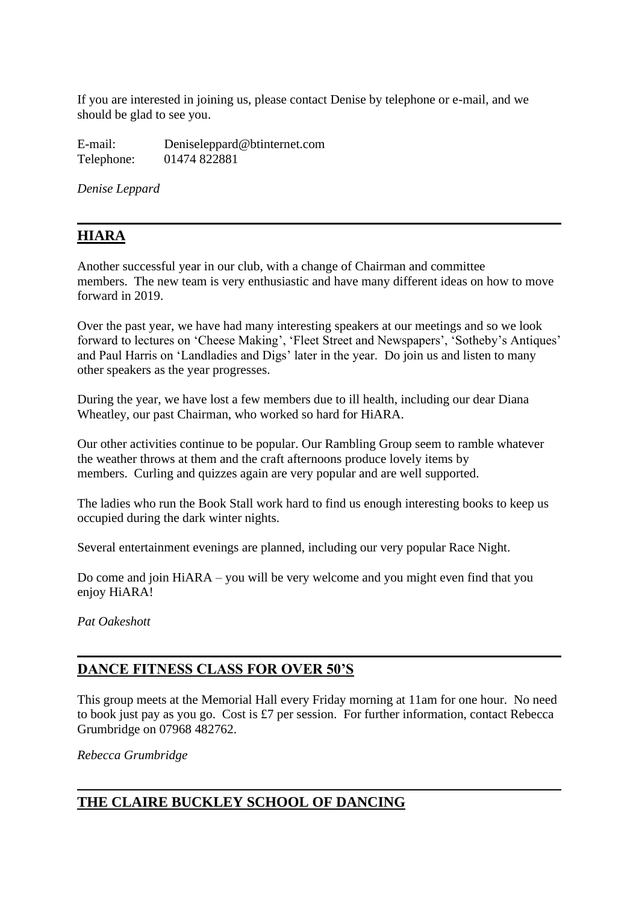If you are interested in joining us, please contact Denise by telephone or e-mail, and we should be glad to see you.

E-mail: Deniseleppard@btinternet.com Telephone: 01474 822881

*Denise Leppard*

## **HIARA**

Another successful year in our club, with a change of Chairman and committee members. The new team is very enthusiastic and have many different ideas on how to move forward in 2019.

Over the past year, we have had many interesting speakers at our meetings and so we look forward to lectures on 'Cheese Making', 'Fleet Street and Newspapers', 'Sotheby's Antiques' and Paul Harris on 'Landladies and Digs' later in the year. Do join us and listen to many other speakers as the year progresses.

During the year, we have lost a few members due to ill health, including our dear Diana Wheatley, our past Chairman, who worked so hard for HiARA.

Our other activities continue to be popular. Our Rambling Group seem to ramble whatever the weather throws at them and the craft afternoons produce lovely items by members. Curling and quizzes again are very popular and are well supported.

The ladies who run the Book Stall work hard to find us enough interesting books to keep us occupied during the dark winter nights.

Several entertainment evenings are planned, including our very popular Race Night.

Do come and join HiARA – you will be very welcome and you might even find that you enjoy HiARA!

*Pat Oakeshott*

## **DANCE FITNESS CLASS FOR OVER 50'S**

This group meets at the Memorial Hall every Friday morning at 11am for one hour. No need to book just pay as you go. Cost is £7 per session. For further information, contact Rebecca Grumbridge on 07968 482762.

*Rebecca Grumbridge*

## **THE CLAIRE BUCKLEY SCHOOL OF DANCING**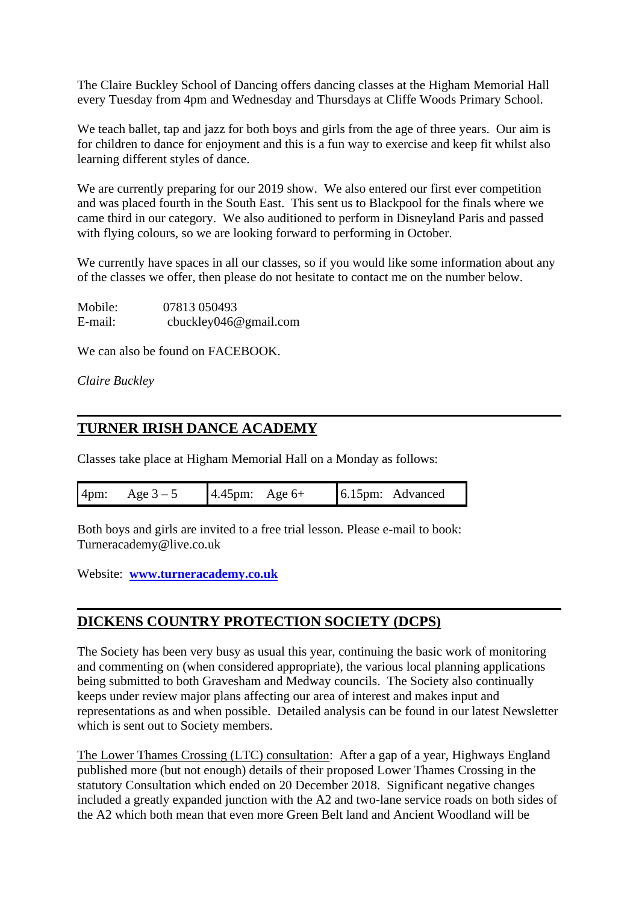The Claire Buckley School of Dancing offers dancing classes at the Higham Memorial Hall every Tuesday from 4pm and Wednesday and Thursdays at Cliffe Woods Primary School.

We teach ballet, tap and jazz for both boys and girls from the age of three years. Our aim is for children to dance for enjoyment and this is a fun way to exercise and keep fit whilst also learning different styles of dance.

We are currently preparing for our 2019 show. We also entered our first ever competition and was placed fourth in the South East. This sent us to Blackpool for the finals where we came third in our category. We also auditioned to perform in Disneyland Paris and passed with flying colours, so we are looking forward to performing in October.

We currently have spaces in all our classes, so if you would like some information about any of the classes we offer, then please do not hesitate to contact me on the number below.

| Mobile: | 07813 050493          |
|---------|-----------------------|
| E-mail: | cbuckley046@gmail.com |

We can also be found on FACEBOOK.

*Claire Buckley*

## **TURNER IRISH DANCE ACADEMY**

Classes take place at Higham Memorial Hall on a Monday as follows:

Both boys and girls are invited to a free trial lesson. Please e-mail to book: Turneracademy@live.co.uk

Website: **[www.turneracademy.co.uk](http://www.turneracademy.co.uk/)**

## **DICKENS COUNTRY PROTECTION SOCIETY (DCPS)**

The Society has been very busy as usual this year, continuing the basic work of monitoring and commenting on (when considered appropriate), the various local planning applications being submitted to both Gravesham and Medway councils. The Society also continually keeps under review major plans affecting our area of interest and makes input and representations as and when possible. Detailed analysis can be found in our latest Newsletter which is sent out to Society members.

The Lower Thames Crossing (LTC) consultation: After a gap of a year, Highways England published more (but not enough) details of their proposed Lower Thames Crossing in the statutory Consultation which ended on 20 December 2018. Significant negative changes included a greatly expanded junction with the A2 and two-lane service roads on both sides of the A2 which both mean that even more Green Belt land and Ancient Woodland will be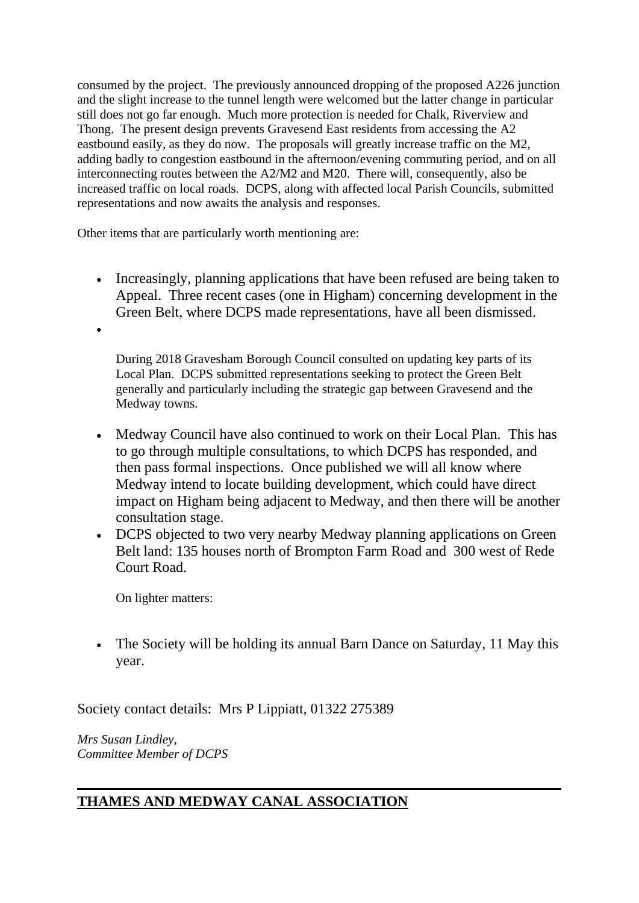consumed by the project. The previously announced dropping of the proposed A226 junction and the slight increase to the tunnel length were welcomed but the latter change in particular still does not go far enough. Much more protection is needed for Chalk, Riverview and Thong. The present design prevents Gravesend East residents from accessing the A2 eastbound easily, as they do now. The proposals will greatly increase traffic on the M2, adding badly to congestion eastbound in the afternoon/evening commuting period, and on all interconnecting routes between the A2/M2 and M20. There will, consequently, also be increased traffic on local roads. DCPS, along with affected local Parish Councils, submitted representations and now awaits the analysis and responses.

Other items that are particularly worth mentioning are:

• Increasingly, planning applications that have been refused are being taken to Appeal. Three recent cases (one in Higham) concerning development in the Green Belt, where DCPS made representations, have all been dismissed.

During 2018 Gravesham Borough Council consulted on updating key parts of its Local Plan. DCPS submitted representations seeking to protect the Green Belt generally and particularly including the strategic gap between Gravesend and the Medway towns.

- Medway Council have also continued to work on their Local Plan. This has to go through multiple consultations, to which DCPS has responded, and then pass formal inspections. Once published we will all know where Medway intend to locate building development, which could have direct impact on Higham being adjacent to Medway, and then there will be another consultation stage.
- DCPS objected to two very nearby Medway planning applications on Green Belt land: 135 houses north of Brompton Farm Road and 300 west of Rede Court Road.

On lighter matters:

•

• The Society will be holding its annual Barn Dance on Saturday, 11 May this year.

Society contact details: Mrs P Lippiatt, 01322 275389

*Mrs Susan Lindley, Committee Member of DCPS*

## **THAMES AND MEDWAY CANAL ASSOCIATION**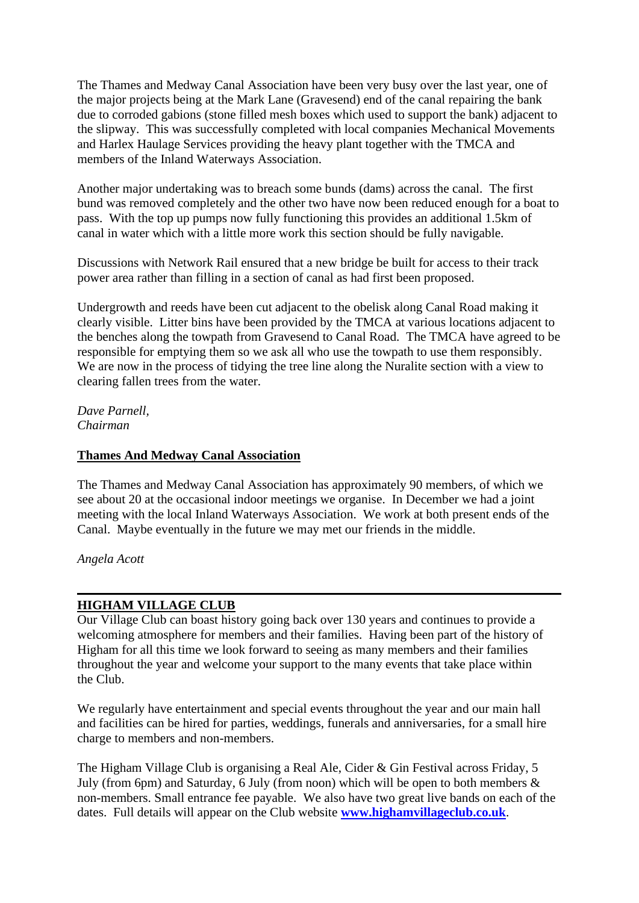The Thames and Medway Canal Association have been very busy over the last year, one of the major projects being at the Mark Lane (Gravesend) end of the canal repairing the bank due to corroded gabions (stone filled mesh boxes which used to support the bank) adjacent to the slipway. This was successfully completed with local companies Mechanical Movements and Harlex Haulage Services providing the heavy plant together with the TMCA and members of the Inland Waterways Association.

Another major undertaking was to breach some bunds (dams) across the canal. The first bund was removed completely and the other two have now been reduced enough for a boat to pass. With the top up pumps now fully functioning this provides an additional 1.5km of canal in water which with a little more work this section should be fully navigable.

Discussions with Network Rail ensured that a new bridge be built for access to their track power area rather than filling in a section of canal as had first been proposed.

Undergrowth and reeds have been cut adjacent to the obelisk along Canal Road making it clearly visible. Litter bins have been provided by the TMCA at various locations adjacent to the benches along the towpath from Gravesend to Canal Road. The TMCA have agreed to be responsible for emptying them so we ask all who use the towpath to use them responsibly. We are now in the process of tidying the tree line along the Nuralite section with a view to clearing fallen trees from the water.

*Dave Parnell, Chairman*

#### **Thames And Medway Canal Association**

The Thames and Medway Canal Association has approximately 90 members, of which we see about 20 at the occasional indoor meetings we organise. In December we had a joint meeting with the local Inland Waterways Association. We work at both present ends of the Canal. Maybe eventually in the future we may met our friends in the middle.

*Angela Acott*

#### **HIGHAM VILLAGE CLUB**

Our Village Club can boast history going back over 130 years and continues to provide a welcoming atmosphere for members and their families. Having been part of the history of Higham for all this time we look forward to seeing as many members and their families throughout the year and welcome your support to the many events that take place within the Club.

We regularly have entertainment and special events throughout the year and our main hall and facilities can be hired for parties, weddings, funerals and anniversaries, for a small hire charge to members and non-members.

The Higham Village Club is organising a Real Ale, Cider & Gin Festival across Friday, 5 July (from 6pm) and Saturday, 6 July (from noon) which will be open to both members & non-members. Small entrance fee payable. We also have two great live bands on each of the dates. Full details will appear on the Club website **[www.highamvillageclub.co.uk](http://www.highamvillageclub.co.uk/)**.